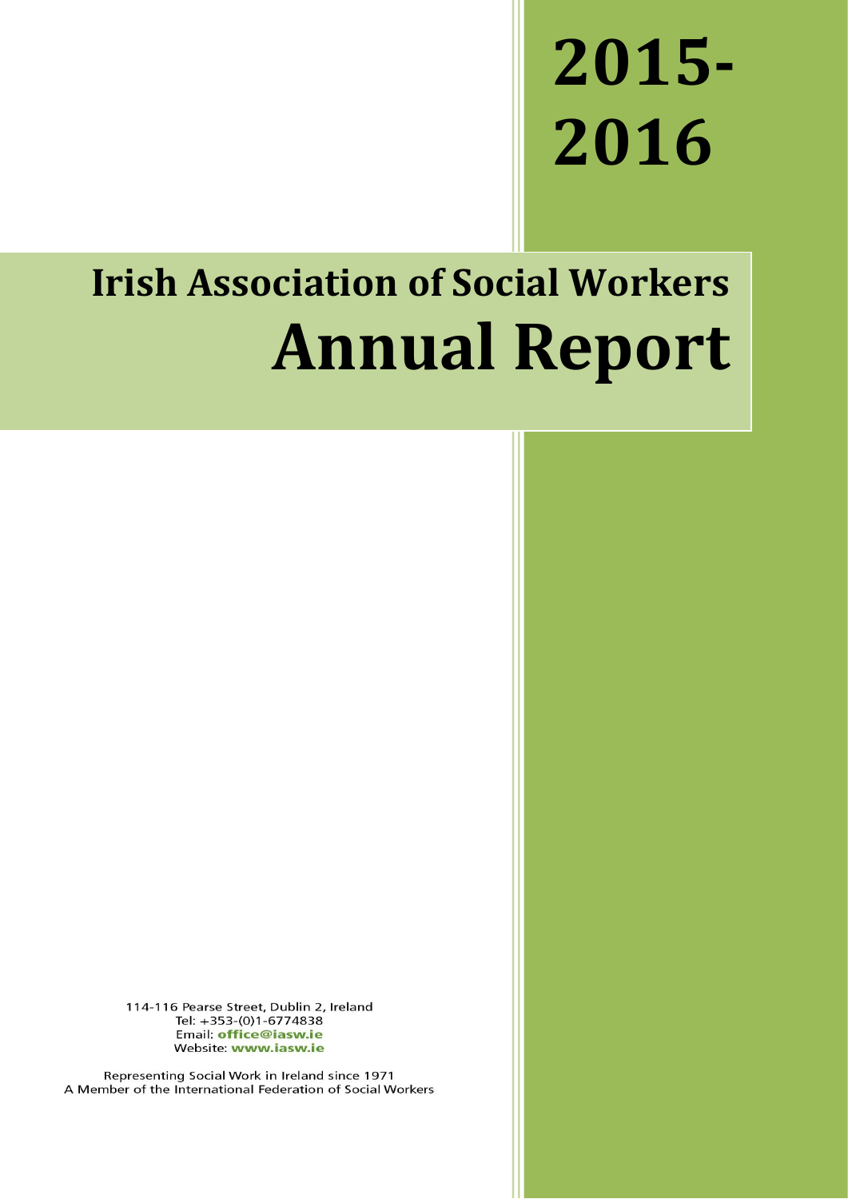# **2015- 2016**

# **Irish Association of Social Workers Annual Report**

114-116 Pearse Street, Dublin 2, Ireland Tel: +353-(0)1-6774838 Email: office@iasw.ie Website: www.iasw.ie

Representing Social Work in Ireland since 1971 A Member of the International Federation of Social Workers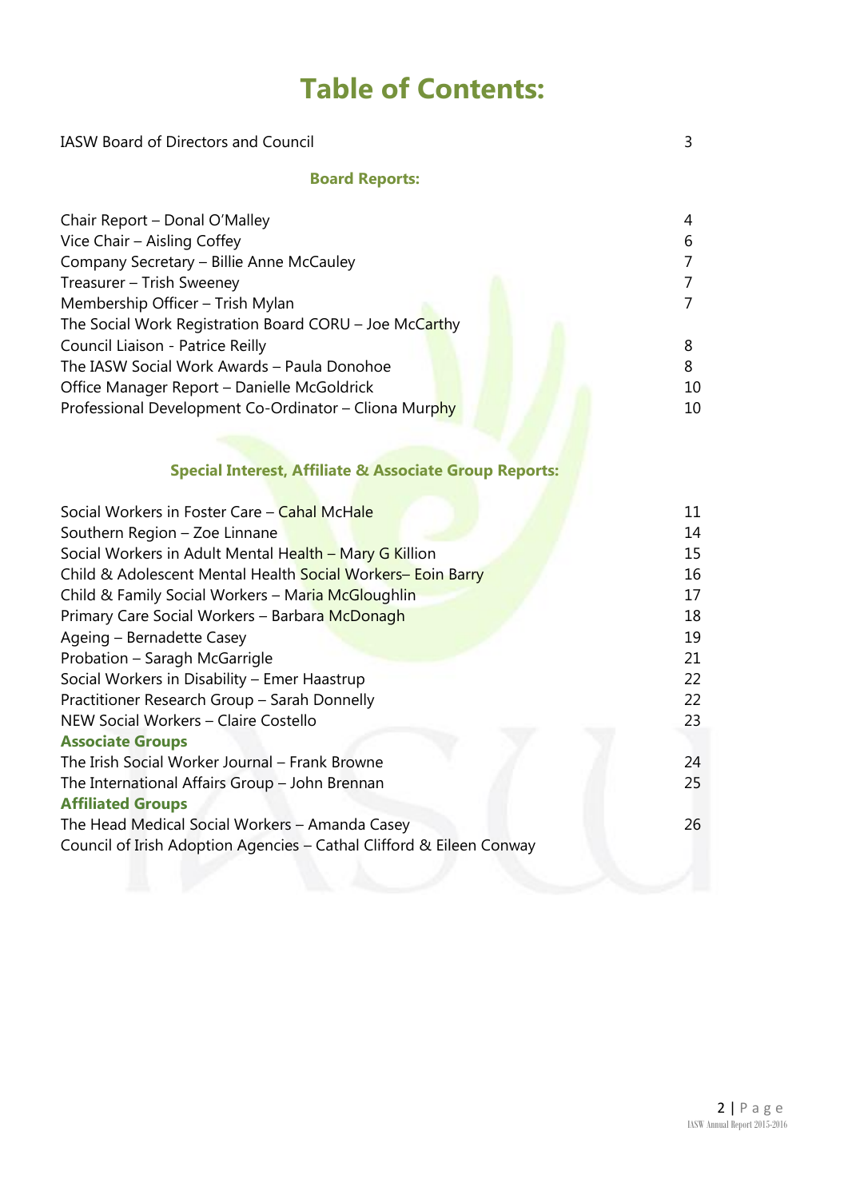# **Table of Contents:**

| <b>IASW Board of Directors and Council</b>                           |                |  |  |  |
|----------------------------------------------------------------------|----------------|--|--|--|
| <b>Board Reports:</b>                                                |                |  |  |  |
| Chair Report - Donal O'Malley                                        | $\overline{4}$ |  |  |  |
| Vice Chair - Aisling Coffey                                          | 6              |  |  |  |
| Company Secretary - Billie Anne McCauley                             | $\overline{7}$ |  |  |  |
| Treasurer - Trish Sweeney                                            | $\overline{7}$ |  |  |  |
| Membership Officer - Trish Mylan                                     | $\overline{7}$ |  |  |  |
| The Social Work Registration Board CORU - Joe McCarthy               |                |  |  |  |
| Council Liaison - Patrice Reilly                                     | 8              |  |  |  |
| The IASW Social Work Awards - Paula Donohoe                          | 8              |  |  |  |
| Office Manager Report - Danielle McGoldrick                          | 10             |  |  |  |
| Professional Development Co-Ordinator - Cliona Murphy                | 10             |  |  |  |
|                                                                      |                |  |  |  |
| <b>Special Interest, Affiliate &amp; Associate Group Reports:</b>    |                |  |  |  |
| Social Workers in Foster Care - Cahal McHale                         | 11             |  |  |  |
| Southern Region - Zoe Linnane                                        | 14             |  |  |  |
| Social Workers in Adult Mental Health - Mary G Killion               |                |  |  |  |
| Child & Adolescent Mental Health Social Workers- Eoin Barry          | 16             |  |  |  |
| Child & Family Social Workers - Maria McGloughlin                    |                |  |  |  |
| Primary Care Social Workers - Barbara McDonagh                       | 18             |  |  |  |
| Ageing - Bernadette Casey                                            | 19             |  |  |  |
| Probation - Saragh McGarrigle                                        | 21             |  |  |  |
| Social Workers in Disability - Emer Haastrup                         | 22             |  |  |  |
| Practitioner Research Group - Sarah Donnelly                         | 22             |  |  |  |
| NEW Social Workers - Claire Costello                                 | 23             |  |  |  |
| <b>Associate Groups</b>                                              |                |  |  |  |
| The Irish Social Worker Journal - Frank Browne                       | 24             |  |  |  |
| The International Affairs Group - John Brennan                       | 25             |  |  |  |
| <b>Affiliated Groups</b>                                             |                |  |  |  |
| The Head Medical Social Workers - Amanda Casey                       | 26             |  |  |  |
| Council of Irish Adoption Agencies - Cathal Clifford & Eileen Conway |                |  |  |  |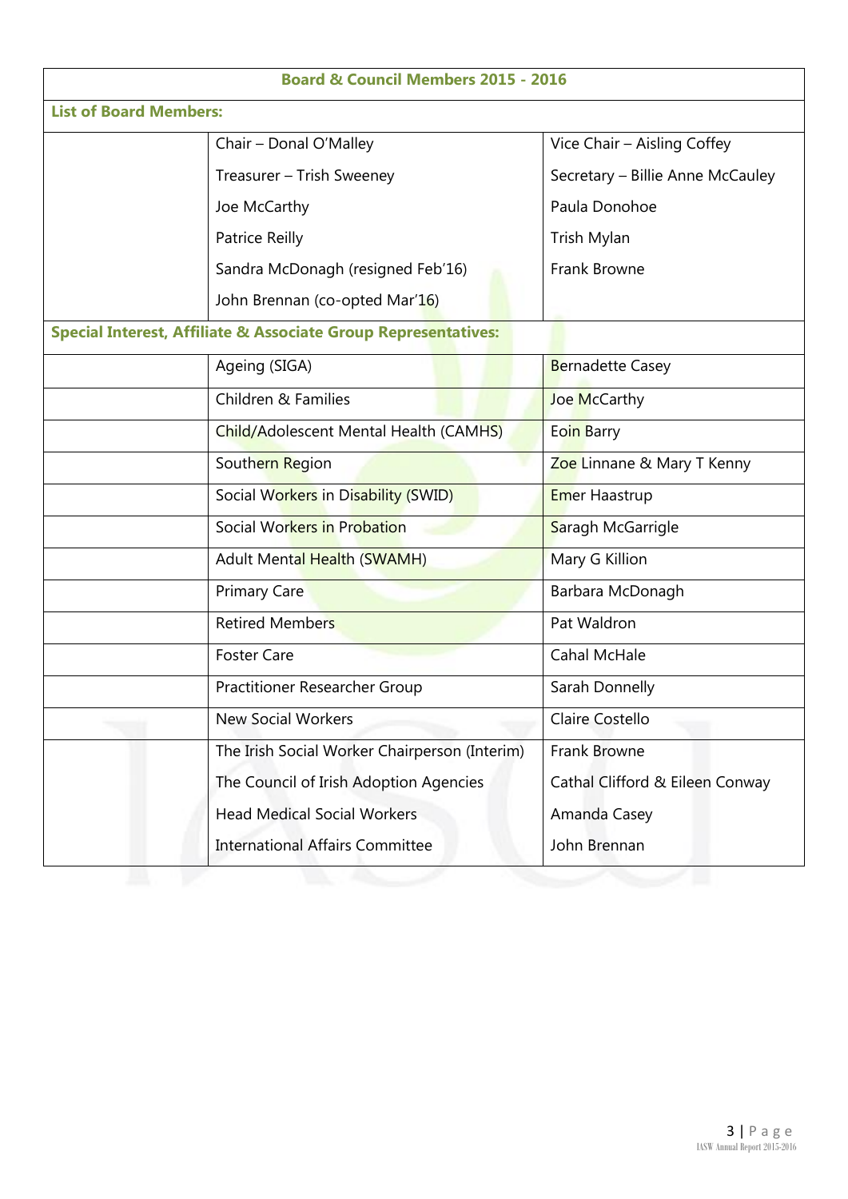| <b>Board &amp; Council Members 2015 - 2016</b>                            |                                               |                                                   |  |  |  |
|---------------------------------------------------------------------------|-----------------------------------------------|---------------------------------------------------|--|--|--|
| <b>List of Board Members:</b>                                             |                                               |                                                   |  |  |  |
|                                                                           | Chair - Donal O'Malley                        | Vice Chair - Aisling Coffey                       |  |  |  |
|                                                                           | Treasurer - Trish Sweeney                     | Secretary - Billie Anne McCauley<br>Paula Donohoe |  |  |  |
|                                                                           | Joe McCarthy                                  |                                                   |  |  |  |
|                                                                           | <b>Patrice Reilly</b>                         | Trish Mylan                                       |  |  |  |
|                                                                           | Sandra McDonagh (resigned Feb'16)             | <b>Frank Browne</b>                               |  |  |  |
|                                                                           | John Brennan (co-opted Mar'16)                |                                                   |  |  |  |
| <b>Special Interest, Affiliate &amp; Associate Group Representatives:</b> |                                               |                                                   |  |  |  |
|                                                                           | Ageing (SIGA)                                 | <b>Bernadette Casey</b>                           |  |  |  |
|                                                                           | Children & Families                           | Joe McCarthy                                      |  |  |  |
|                                                                           | Child/Adolescent Mental Health (CAMHS)        | Eoin Barry                                        |  |  |  |
|                                                                           | Southern Region                               | Zoe Linnane & Mary T Kenny                        |  |  |  |
|                                                                           | Social Workers in Disability (SWID)           | <b>Emer Haastrup</b>                              |  |  |  |
|                                                                           | Social Workers in Probation                   | Saragh McGarrigle                                 |  |  |  |
|                                                                           | <b>Adult Mental Health (SWAMH)</b>            | Mary G Killion                                    |  |  |  |
|                                                                           | <b>Primary Care</b>                           | Barbara McDonagh                                  |  |  |  |
|                                                                           | <b>Retired Members</b>                        | Pat Waldron                                       |  |  |  |
|                                                                           | <b>Foster Care</b>                            | <b>Cahal McHale</b>                               |  |  |  |
|                                                                           | Practitioner Researcher Group                 | Sarah Donnelly                                    |  |  |  |
|                                                                           | <b>New Social Workers</b>                     | Claire Costello                                   |  |  |  |
|                                                                           | The Irish Social Worker Chairperson (Interim) | Frank Browne                                      |  |  |  |
|                                                                           | The Council of Irish Adoption Agencies        | Cathal Clifford & Eileen Conway                   |  |  |  |
|                                                                           | <b>Head Medical Social Workers</b>            | Amanda Casey                                      |  |  |  |
|                                                                           | <b>International Affairs Committee</b>        | John Brennan                                      |  |  |  |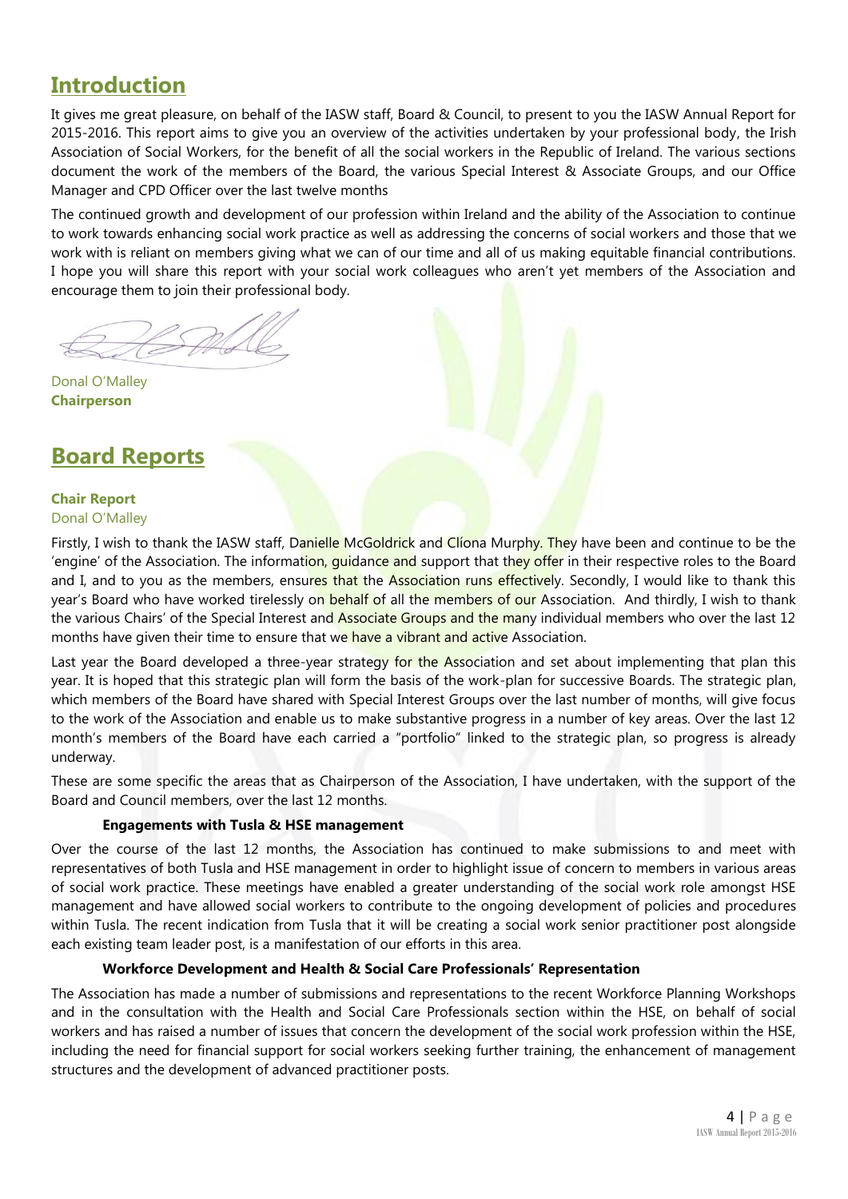# **Introduction**

It gives me great pleasure, on behalf of the IASW staff, Board & Council, to present to you the IASW Annual Report for 2015-2016. This report aims to give you an overview of the activities undertaken by your professional body, the Irish Association of Social Workers, for the benefit of all the social workers in the Republic of Ireland. The various sections document the work of the members of the Board, the various Special Interest & Associate Groups, and our Office Manager and CPD Officer over the last twelve months

The continued growth and development of our profession within Ireland and the ability of the Association to continue to work towards enhancing social work practice as well as addressing the concerns of social workers and those that we work with is reliant on members giving what we can of our time and all of us making equitable financial contributions. I hope you will share this report with your social work colleagues who aren't yet members of the Association and encourage them to join their professional body.

Donal O'Malley **Chairperson**

# **Board Reports**

# **Chair Report** Donal O'Malley

Firstly, I wish to thank the IASW staff, Danielle McGoldrick and Clíona Murphy. They have been and continue to be the 'engine' of the Association. The information, quidance and support that they offer in their respective roles to the Board and I, and to you as the members, ensures that the Association runs effectively. Secondly, I would like to thank this year's Board who have worked tirelessly on behalf of all the members of our Association. And thirdly, I wish to thank the various Chairs' of the Special Interest and Associate Groups and the many individual members who over the last 12 months have given their time to ensure that we have a vibrant and active Association.

Last year the Board developed a three-year strategy for the Association and set about implementing that plan this year. It is hoped that this strategic plan will form the basis of the work-plan for successive Boards. The strategic plan, which members of the Board have shared with Special Interest Groups over the last number of months, will give focus to the work of the Association and enable us to make substantive progress in a number of key areas. Over the last 12 month's members of the Board have each carried a "portfolio" linked to the strategic plan, so progress is already underway.

These are some specific the areas that as Chairperson of the Association, I have undertaken, with the support of the Board and Council members, over the last 12 months.

# **Engagements with Tusla & HSE management**

Over the course of the last 12 months, the Association has continued to make submissions to and meet with representatives of both Tusla and HSE management in order to highlight issue of concern to members in various areas of social work practice. These meetings have enabled a greater understanding of the social work role amongst HSE management and have allowed social workers to contribute to the ongoing development of policies and procedures within Tusla. The recent indication from Tusla that it will be creating a social work senior practitioner post alongside each existing team leader post, is a manifestation of our efforts in this area.

# **Workforce Development and Health & Social Care Professionals' Representation**

The Association has made a number of submissions and representations to the recent Workforce Planning Workshops and in the consultation with the Health and Social Care Professionals section within the HSE, on behalf of social workers and has raised a number of issues that concern the development of the social work profession within the HSE, including the need for financial support for social workers seeking further training, the enhancement of management structures and the development of advanced practitioner posts.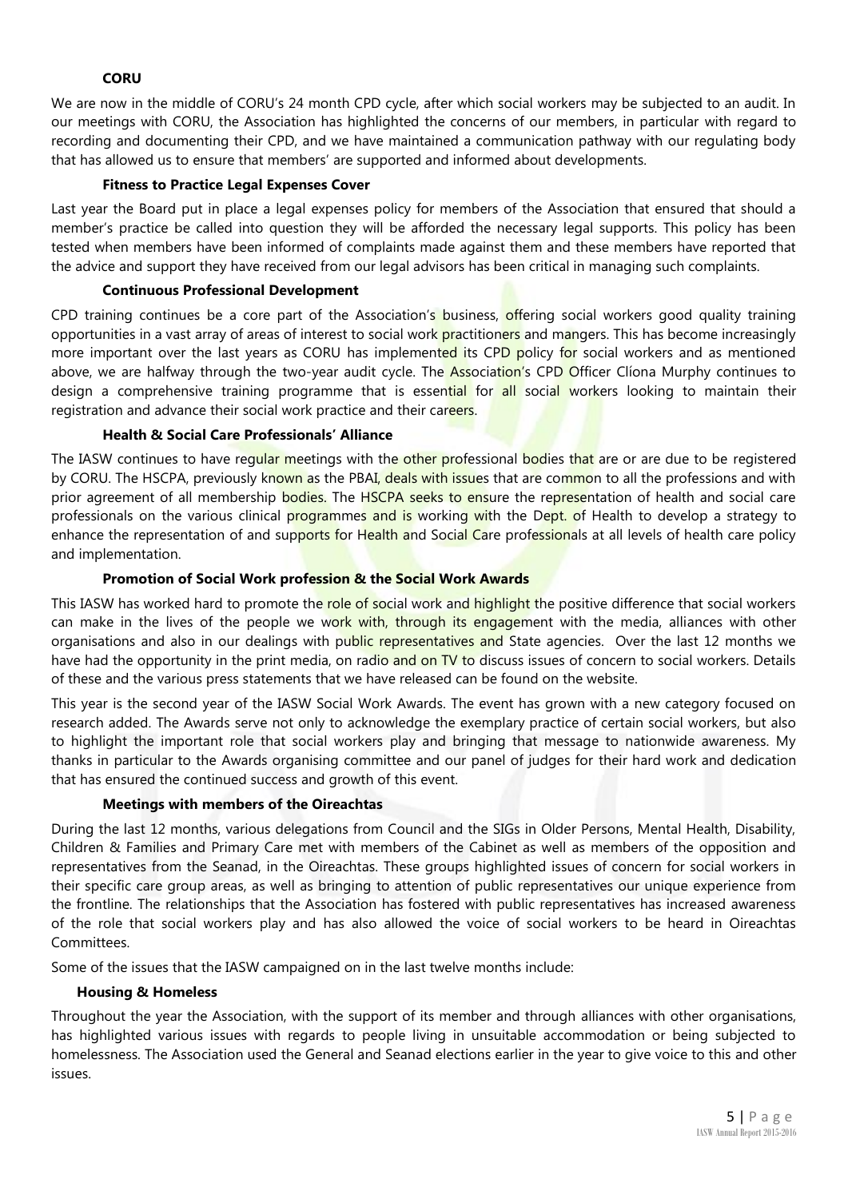# **CORU**

We are now in the middle of CORU's 24 month CPD cycle, after which social workers may be subjected to an audit. In our meetings with CORU, the Association has highlighted the concerns of our members, in particular with regard to recording and documenting their CPD, and we have maintained a communication pathway with our regulating body that has allowed us to ensure that members' are supported and informed about developments.

# **Fitness to Practice Legal Expenses Cover**

Last year the Board put in place a legal expenses policy for members of the Association that ensured that should a member's practice be called into question they will be afforded the necessary legal supports. This policy has been tested when members have been informed of complaints made against them and these members have reported that the advice and support they have received from our legal advisors has been critical in managing such complaints.

# **Continuous Professional Development**

CPD training continues be a core part of the Association's business, offering social workers good quality training opportunities in a vast array of areas of interest to social work practitioners and mangers. This has become increasingly more important over the last years as CORU has implemented its CPD policy for social workers and as mentioned above, we are halfway through the two-year audit cycle. The **Association's CPD Officer Cliona Murphy continues to** design a comprehensive training programme that is essential for all social workers looking to maintain their registration and advance their social work practice and their careers.

# **Health & Social Care Professionals' Alliance**

The IASW continues to have regular meetings with the other professional bodies that are or are due to be registered by CORU. The HSCPA, previously known as the PBAI, deals with issues that are common to all the professions and with prior agreement of all membership bodies. The HSCPA seeks to ensure the representation of health and social care professionals on the various clinical programmes and is working with the Dept. of Health to develop a strategy to enhance the representation of and supports for Health and Social Care professionals at all levels of health care policy and implementation.

# **Promotion of Social Work profession & the Social Work Awards**

This IASW has worked hard to promote the role of social work and highlight the positive difference that social workers can make in the lives of the people we work with, through its engagement with the media, alliances with other organisations and also in our dealings with public representatives and State agencies. Over the last 12 months we have had the opportunity in the print media, on radio and on TV to discuss issues of concern to social workers. Details of these and the various press statements that we have released can be found on the website.

This year is the second year of the IASW Social Work Awards. The event has grown with a new category focused on research added. The Awards serve not only to acknowledge the exemplary practice of certain social workers, but also to highlight the important role that social workers play and bringing that message to nationwide awareness. My thanks in particular to the Awards organising committee and our panel of judges for their hard work and dedication that has ensured the continued success and growth of this event.

# **Meetings with members of the Oireachtas**

During the last 12 months, various delegations from Council and the SIGs in Older Persons, Mental Health, Disability, Children & Families and Primary Care met with members of the Cabinet as well as members of the opposition and representatives from the Seanad, in the Oireachtas. These groups highlighted issues of concern for social workers in their specific care group areas, as well as bringing to attention of public representatives our unique experience from the frontline. The relationships that the Association has fostered with public representatives has increased awareness of the role that social workers play and has also allowed the voice of social workers to be heard in Oireachtas Committees.

Some of the issues that the IASW campaigned on in the last twelve months include:

# **Housing & Homeless**

Throughout the year the Association, with the support of its member and through alliances with other organisations, has highlighted various issues with regards to people living in unsuitable accommodation or being subjected to homelessness. The Association used the General and Seanad elections earlier in the year to give voice to this and other issues.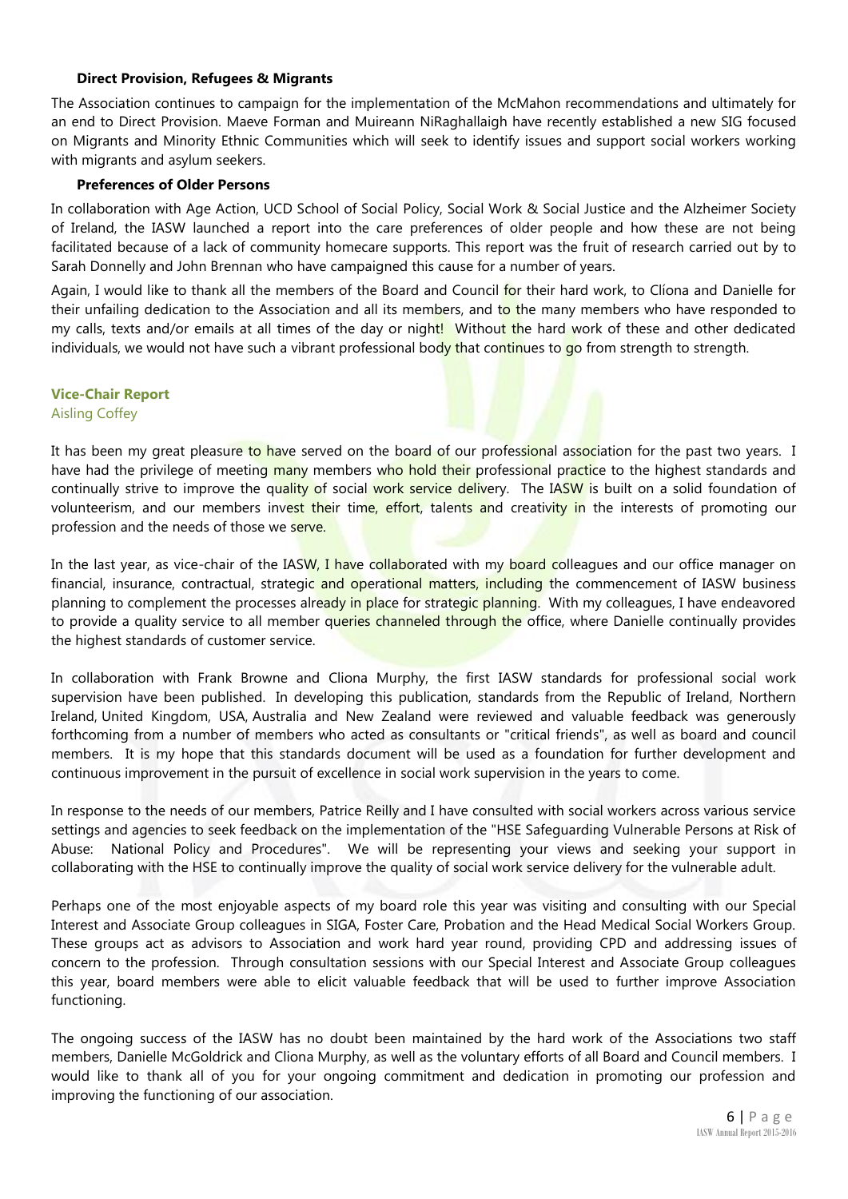# **Direct Provision, Refugees & Migrants**

The Association continues to campaign for the implementation of the McMahon recommendations and ultimately for an end to Direct Provision. Maeve Forman and Muireann NiRaghallaigh have recently established a new SIG focused on Migrants and Minority Ethnic Communities which will seek to identify issues and support social workers working with migrants and asylum seekers.

# **Preferences of Older Persons**

In collaboration with Age Action, UCD School of Social Policy, Social Work & Social Justice and the Alzheimer Society of Ireland, the IASW launched a report into the care preferences of older people and how these are not being facilitated because of a lack of community homecare supports. This report was the fruit of research carried out by to Sarah Donnelly and John Brennan who have campaigned this cause for a number of years.

Again, I would like to thank all the members of the Board and Council for their hard work, to Clíona and Danielle for their unfailing dedication to the Association and all its members, and to the many members who have responded to my calls, texts and/or emails at all times of the day or night! Without the hard work of these and other dedicated individuals, we would not have such a vibrant professional body that continues to go from strength to strength.

# **Vice-Chair Report**

Aisling Coffey

It has been my great pleasure to have served on the board of our professional association for the past two years. I have had the privilege of meeting many members who hold their professional practice to the highest standards and continually strive to improve the quality of social work service delivery. The IASW is built on a solid foundation of volunteerism, and our members invest their time, effort, talents and creativity in the interests of promoting our profession and the needs of those we serve.

In the last year, as vice-chair of the IASW, I have collaborated with my board colleagues and our office manager on financial, insurance, contractual, strategic and operational matters, including the commencement of IASW business planning to complement the processes already in place for strategic planning. With my colleagues, I have endeavored to provide a quality service to all member queries channeled through the office, where Danielle continually provides the highest standards of customer service.

In collaboration with Frank Browne and Cliona Murphy, the first IASW standards for professional social work supervision have been published. In developing this publication, standards from the Republic of Ireland, Northern Ireland, United Kingdom, USA, Australia and New Zealand were reviewed and valuable feedback was generously forthcoming from a number of members who acted as consultants or "critical friends", as well as board and council members. It is my hope that this standards document will be used as a foundation for further development and continuous improvement in the pursuit of excellence in social work supervision in the years to come.

In response to the needs of our members, Patrice Reilly and I have consulted with social workers across various service settings and agencies to seek feedback on the implementation of the "HSE Safeguarding Vulnerable Persons at Risk of Abuse: National Policy and Procedures". We will be representing your views and seeking your support in collaborating with the HSE to continually improve the quality of social work service delivery for the vulnerable adult.

Perhaps one of the most enjoyable aspects of my board role this year was visiting and consulting with our Special Interest and Associate Group colleagues in SIGA, Foster Care, Probation and the Head Medical Social Workers Group. These groups act as advisors to Association and work hard year round, providing CPD and addressing issues of concern to the profession. Through consultation sessions with our Special Interest and Associate Group colleagues this year, board members were able to elicit valuable feedback that will be used to further improve Association functioning.

The ongoing success of the IASW has no doubt been maintained by the hard work of the Associations two staff members, Danielle McGoldrick and Cliona Murphy, as well as the voluntary efforts of all Board and Council members. I would like to thank all of you for your ongoing commitment and dedication in promoting our profession and improving the functioning of our association.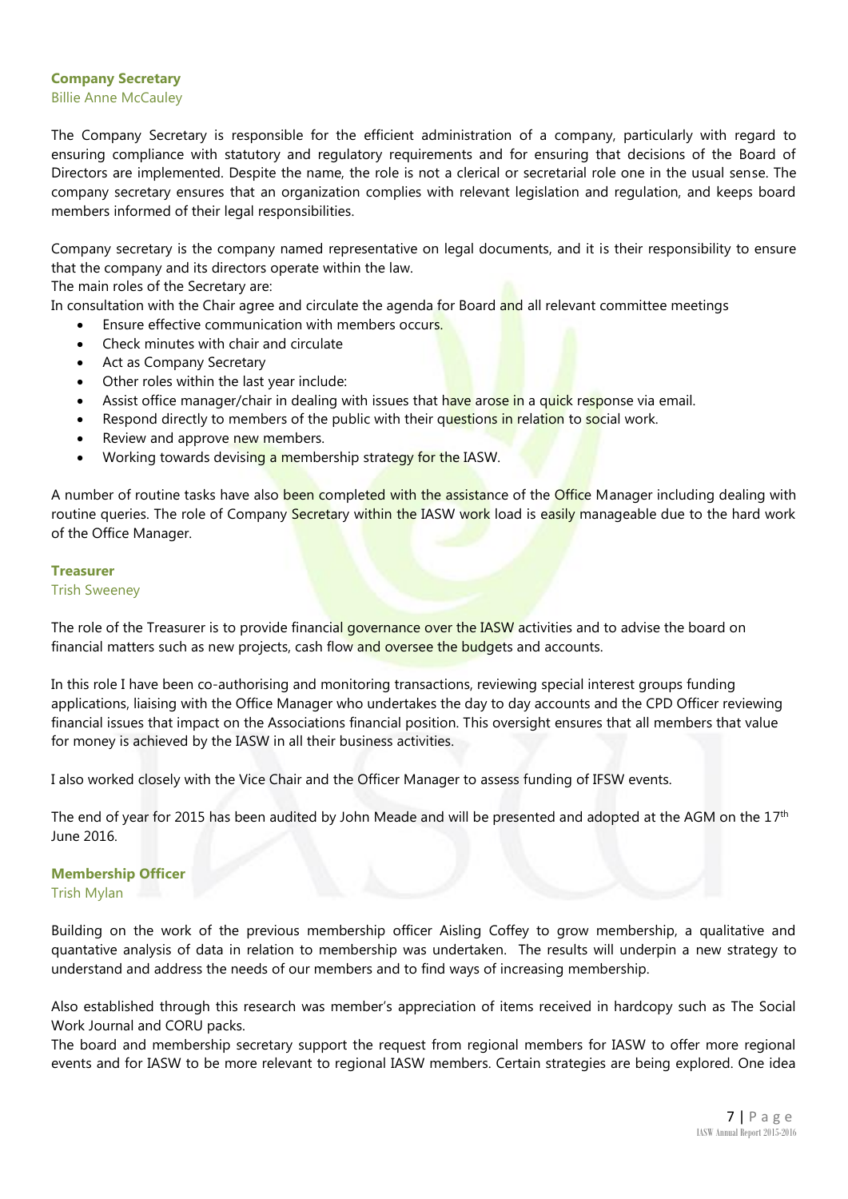# **Company Secretary**  Billie Anne McCauley

The Company Secretary is responsible for the efficient administration of a company, particularly with regard to ensuring compliance with statutory and regulatory requirements and for ensuring that decisions of the Board of Directors are implemented. Despite the name, the role is not a clerical or secretarial role one in the usual sense. The company secretary ensures that an organization complies with relevant legislation and regulation, and keeps board members informed of their legal responsibilities.

Company secretary is the company named representative on legal documents, and it is their responsibility to ensure that the company and its directors operate within the law.

The main roles of the Secretary are:

In consultation with the Chair agree and circulate the agenda for Board and all relevant committee meetings

- Ensure effective communication with members occurs.
- Check minutes with chair and circulate
- Act as Company Secretary
- Other roles within the last year include:
- Assist office manager/chair in dealing with issues that have arose in a quick response via email.
- Respond directly to members of the public with their questions in relation to social work.
- Review and approve new members.
- Working towards devising a membership strategy for the IASW.

A number of routine tasks have also been completed with the assistance of the Office Manager including dealing with routine queries. The role of Company Secretary within the IASW work load is easily manageable due to the hard work of the Office Manager.

# **Treasurer**

# Trish Sweeney

The role of the Treasurer is to provide financial governance over the IASW activities and to advise the board on financial matters such as new projects, cash flow and oversee the budgets and accounts.

In this role I have been co-authorising and monitoring transactions, reviewing special interest groups funding applications, liaising with the Office Manager who undertakes the day to day accounts and the CPD Officer reviewing financial issues that impact on the Associations financial position. This oversight ensures that all members that value for money is achieved by the IASW in all their business activities.

I also worked closely with the Vice Chair and the Officer Manager to assess funding of IFSW events.

The end of year for 2015 has been audited by John Meade and will be presented and adopted at the AGM on the  $17<sup>th</sup>$ June 2016.

# **Membership Officer**

Trish Mylan

Building on the work of the previous membership officer Aisling Coffey to grow membership, a qualitative and quantative analysis of data in relation to membership was undertaken. The results will underpin a new strategy to understand and address the needs of our members and to find ways of increasing membership.

Also established through this research was member's appreciation of items received in hardcopy such as The Social Work Journal and CORU packs.

The board and membership secretary support the request from regional members for IASW to offer more regional events and for IASW to be more relevant to regional IASW members. Certain strategies are being explored. One idea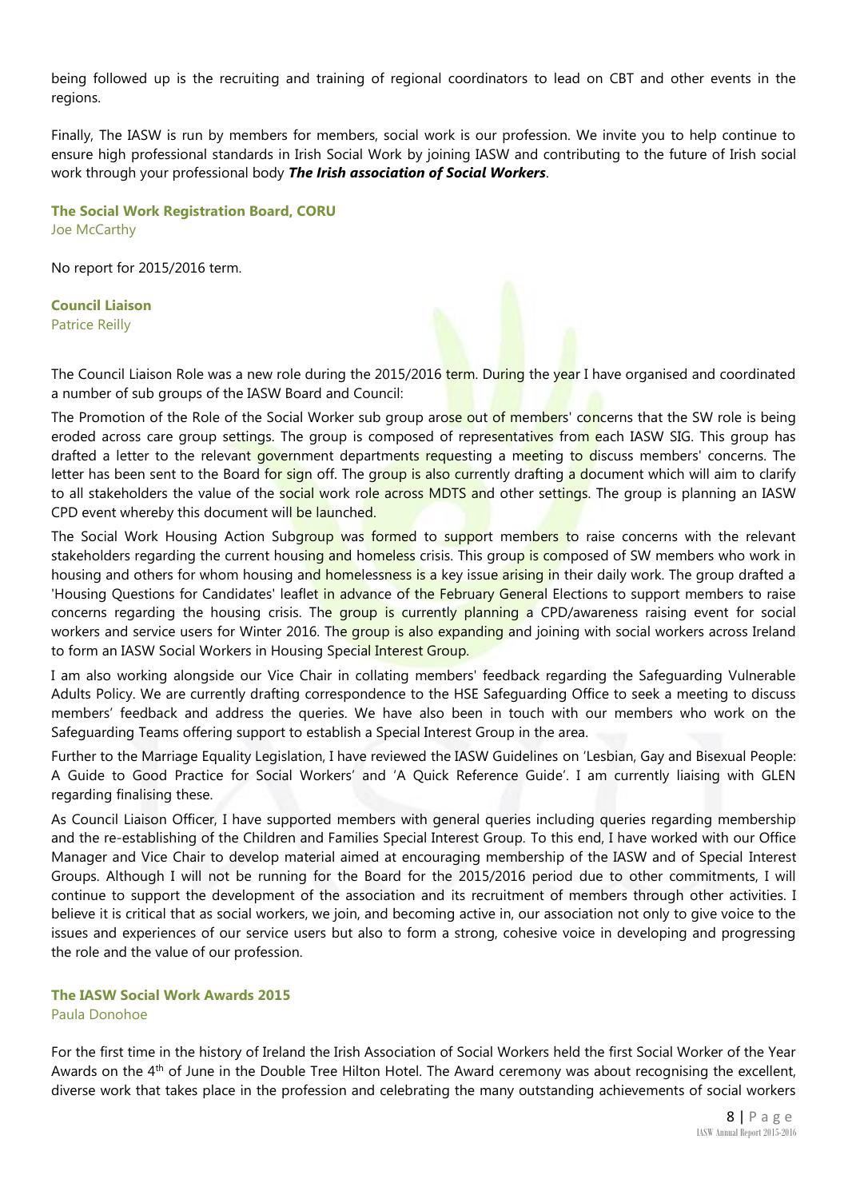being followed up is the recruiting and training of regional coordinators to lead on CBT and other events in the regions.

Finally, The IASW is run by members for members, social work is our profession. We invite you to help continue to ensure high professional standards in Irish Social Work by joining IASW and contributing to the future of Irish social work through your professional body *The Irish association of Social Workers*.

**The Social Work Registration Board, CORU** Joe McCarthy

No report for 2015/2016 term.

**Council Liaison** Patrice Reilly

The Council Liaison Role was a new role during the 2015/2016 term. During the year I have organised and coordinated a number of sub groups of the IASW Board and Council:

The Promotion of the Role of the Social Worker sub group arose out of members' concerns that the SW role is being eroded across care group settings. The group is composed of representatives from each IASW SIG. This group has drafted a letter to the relevant government departments requesting a meeting to discuss members' concerns. The letter has been sent to the Board for sign off. The group is also currently drafting a document which will aim to clarify to all stakeholders the value of the social work role across MDTS and other settings. The group is planning an IASW CPD event whereby this document will be launched.

The Social Work Housing Action Subgroup was formed to support members to raise concerns with the relevant stakeholders regarding the current housing and homeless crisis. This group is composed of SW members who work in housing and others for whom housing and homelessness is a key issue arising in their daily work. The group drafted a 'Housing Questions for Candidates' leaflet in advance of the February General Elections to support members to raise concerns regarding the housing crisis. The group is currently planning a CPD/awareness raising event for social workers and service users for Winter 2016. The group is also expanding and joining with social workers across Ireland to form an IASW Social Workers in Housing Special Interest Group.

I am also working alongside our Vice Chair in collating members' feedback regarding the Safeguarding Vulnerable Adults Policy. We are currently drafting correspondence to the HSE Safeguarding Office to seek a meeting to discuss members' feedback and address the queries. We have also been in touch with our members who work on the Safeguarding Teams offering support to establish a Special Interest Group in the area.

Further to the Marriage Equality Legislation, I have reviewed the IASW Guidelines on 'Lesbian, Gay and Bisexual People: A Guide to Good Practice for Social Workers' and 'A Quick Reference Guide'. I am currently liaising with GLEN regarding finalising these.

As Council Liaison Officer, I have supported members with general queries including queries regarding membership and the re-establishing of the Children and Families Special Interest Group. To this end, I have worked with our Office Manager and Vice Chair to develop material aimed at encouraging membership of the IASW and of Special Interest Groups. Although I will not be running for the Board for the 2015/2016 period due to other commitments, I will continue to support the development of the association and its recruitment of members through other activities. I believe it is critical that as social workers, we join, and becoming active in, our association not only to give voice to the issues and experiences of our service users but also to form a strong, cohesive voice in developing and progressing the role and the value of our profession.

# **The IASW Social Work Awards 2015** Paula Donohoe

For the first time in the history of Ireland the Irish Association of Social Workers held the first Social Worker of the Year Awards on the 4<sup>th</sup> of June in the Double Tree Hilton Hotel. The Award ceremony was about recognising the excellent, diverse work that takes place in the profession and celebrating the many outstanding achievements of social workers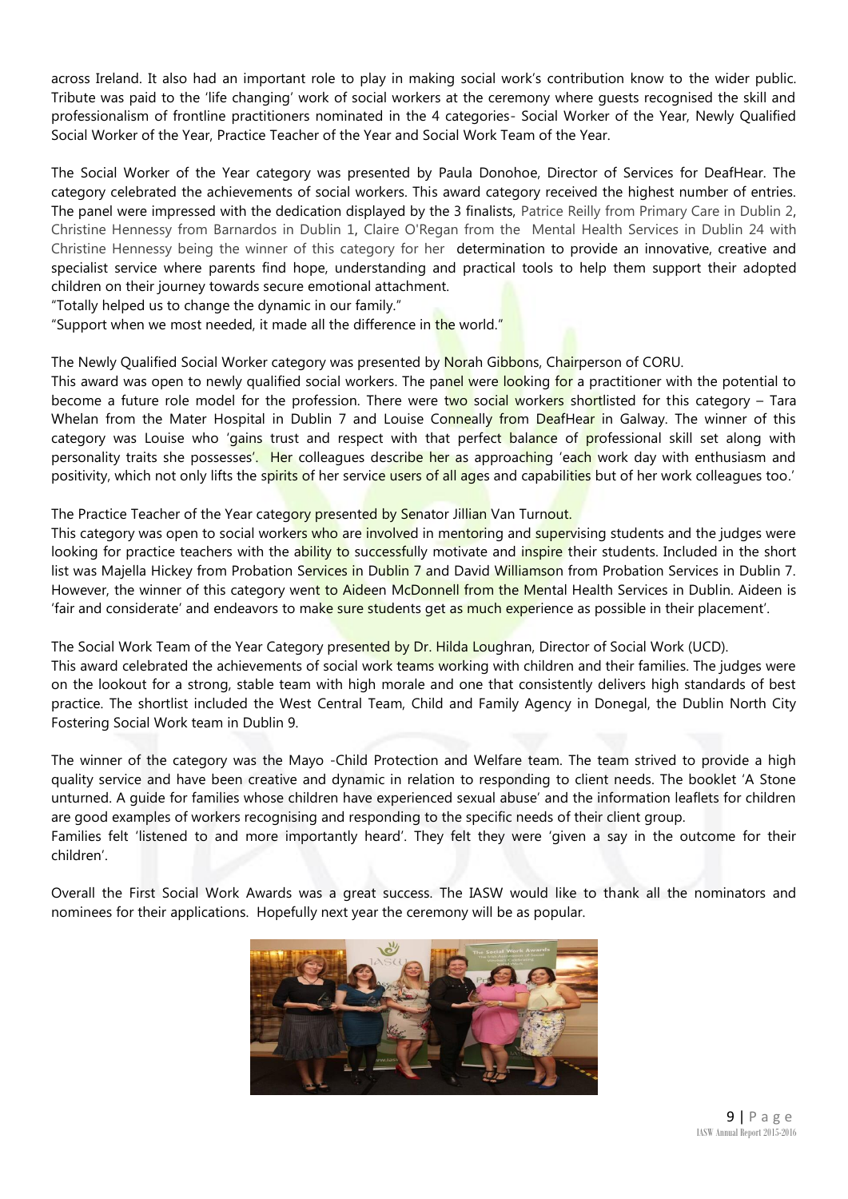across Ireland. It also had an important role to play in making social work's contribution know to the wider public. Tribute was paid to the 'life changing' work of social workers at the ceremony where guests recognised the skill and professionalism of frontline practitioners nominated in the 4 categories- Social Worker of the Year, Newly Qualified Social Worker of the Year, Practice Teacher of the Year and Social Work Team of the Year.

The Social Worker of the Year category was presented by Paula Donohoe, Director of Services for DeafHear. The category celebrated the achievements of social workers. This award category received the highest number of entries. The panel were impressed with the dedication displayed by the 3 finalists, Patrice Reilly from Primary Care in Dublin 2, Christine Hennessy from Barnardos in Dublin 1, Claire O'Regan from the Mental Health Services in Dublin 24 with Christine Hennessy being the winner of this category for her determination to provide an innovative, creative and specialist service where parents find hope, understanding and practical tools to help them support their adopted children on their journey towards secure emotional attachment.

"Totally helped us to change the dynamic in our family."

"Support when we most needed, it made all the difference in the world."

The Newly Qualified Social Worker category was presented by Norah Gibbons, Chairperson of CORU.

This award was open to newly qualified social workers. The panel were looking for a practitioner with the potential to become a future role model for the profession. There were two social workers shortlisted for this category – Tara Whelan from the Mater Hospital in Dublin 7 and Louise Conneally from DeafHear in Galway. The winner of this category was Louise who 'gains trust and respect with that perfect balance of professional skill set along with personality traits she possesses'. Her colleagues describe her as approaching 'each work day with enthusiasm and positivity, which not only lifts the spirits of her service users of all ages and capabilities but of her work colleagues too.'

# The Practice Teacher of the Year category presented by Senator Jillian Van Turnout.

This category was open to social workers who are involved in mentoring and supervising students and the judges were looking for practice teachers with the ability to successfully motivate and inspire their students. Included in the short list was Majella Hickey from Probation Services in Dublin 7 and David Williamson from Probation Services in Dublin 7. However, the winner of this category went to Aideen McDonnell from the Mental Health Services in Dublin. Aideen is 'fair and considerate' and endeavors to make sure students get as much experience as possible in their placement'.

The Social Work Team of the Year Category presented by Dr. Hilda Loughran, Director of Social Work (UCD). This award celebrated the achievements of social work teams working with children and their families. The judges were on the lookout for a strong, stable team with high morale and one that consistently delivers high standards of best practice. The shortlist included the West Central Team, Child and Family Agency in Donegal, the Dublin North City Fostering Social Work team in Dublin 9.

The winner of the category was the Mayo -Child Protection and Welfare team. The team strived to provide a high quality service and have been creative and dynamic in relation to responding to client needs. The booklet 'A Stone unturned. A guide for families whose children have experienced sexual abuse' and the information leaflets for children are good examples of workers recognising and responding to the specific needs of their client group.

Families felt 'listened to and more importantly heard'. They felt they were 'given a say in the outcome for their children'.

Overall the First Social Work Awards was a great success. The IASW would like to thank all the nominators and nominees for their applications. Hopefully next year the ceremony will be as popular.

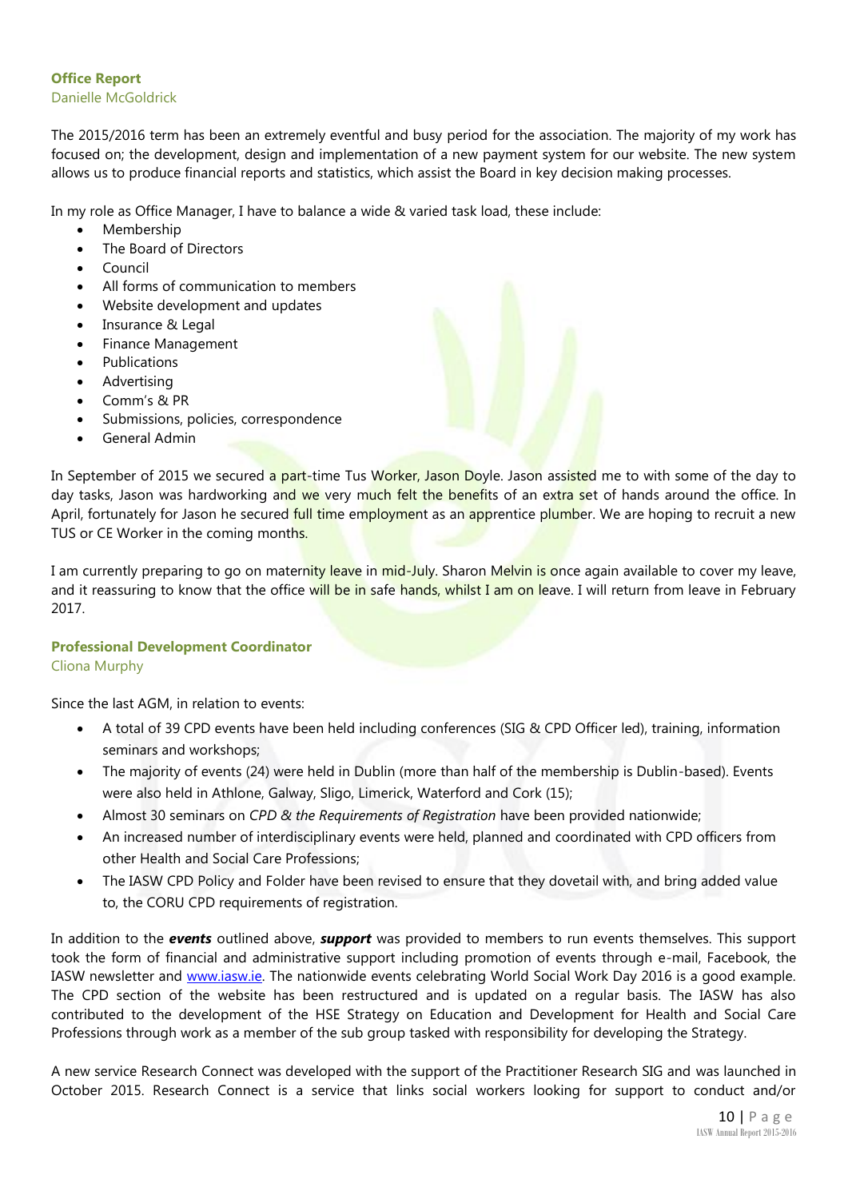# **Office Report** Danielle McGoldrick

The 2015/2016 term has been an extremely eventful and busy period for the association. The majority of my work has focused on; the development, design and implementation of a new payment system for our website. The new system allows us to produce financial reports and statistics, which assist the Board in key decision making processes.

In my role as Office Manager, I have to balance a wide & varied task load, these include:

- Membership
- The Board of Directors
- Council
- All forms of communication to members
- Website development and updates
- Insurance & Legal
- Finance Management
- Publications
- Advertising
- Comm's & PR
- Submissions, policies, correspondence
- General Admin

In September of 2015 we secured a part-time Tus Worker, Jason Doyle. Jason assisted me to with some of the day to day tasks, Jason was hardworking and we very much felt the benefits of an extra set of hands around the office. In April, fortunately for Jason he secured full time employment as an apprentice plumber. We are hoping to recruit a new TUS or CE Worker in the coming months.

I am currently preparing to go on maternity leave in mid-July. Sharon Melvin is once again available to cover my leave, and it reassuring to know that the office will be in safe hands, whilst I am on leave. I will return from leave in February 2017.

# **Professional Development Coordinator**

# Cliona Murphy

Since the last AGM, in relation to events:

- A total of 39 CPD events have been held including conferences (SIG & CPD Officer led), training, information seminars and workshops;
- The majority of events (24) were held in Dublin (more than half of the membership is Dublin-based). Events were also held in Athlone, Galway, Sligo, Limerick, Waterford and Cork (15);
- Almost 30 seminars on *CPD & the Requirements of Registration* have been provided nationwide;
- An increased number of interdisciplinary events were held, planned and coordinated with CPD officers from other Health and Social Care Professions;
- The IASW CPD Policy and Folder have been revised to ensure that they dovetail with, and bring added value to, the CORU CPD requirements of registration.

In addition to the *events* outlined above, *support* was provided to members to run events themselves. This support took the form of financial and administrative support including promotion of events through e-mail, Facebook, the IASW newsletter and [www.iasw.ie.](http://www.iasw.ie/) The nationwide events celebrating World Social Work Day 2016 is a good example. The CPD section of the website has been restructured and is updated on a regular basis. The IASW has also contributed to the development of the HSE Strategy on Education and Development for Health and Social Care Professions through work as a member of the sub group tasked with responsibility for developing the Strategy.

A new service Research Connect was developed with the support of the Practitioner Research SIG and was launched in October 2015. Research Connect is a service that links social workers looking for support to conduct and/or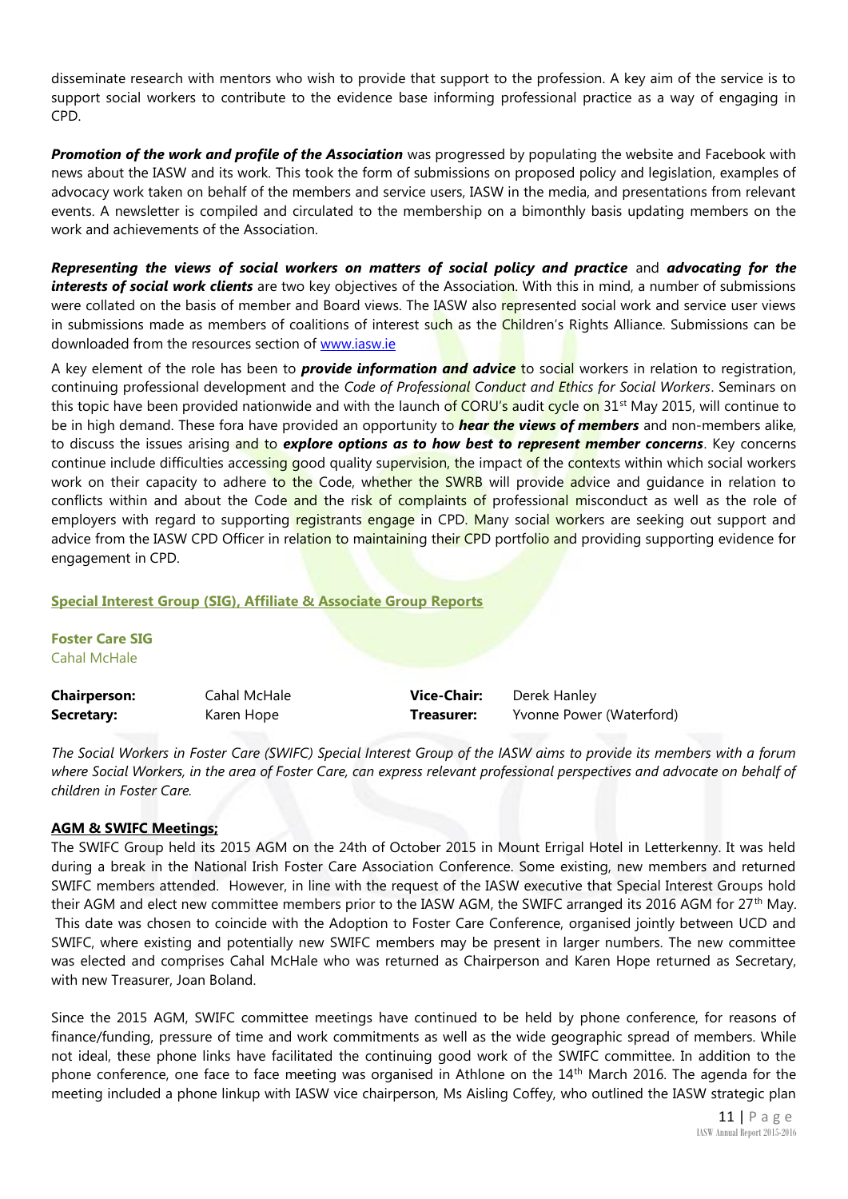disseminate research with mentors who wish to provide that support to the profession. A key aim of the service is to support social workers to contribute to the evidence base informing professional practice as a way of engaging in CPD.

**Promotion of the work and profile of the Association** was progressed by populating the website and Facebook with news about the IASW and its work. This took the form of submissions on proposed policy and legislation, examples of advocacy work taken on behalf of the members and service users, IASW in the media, and presentations from relevant events. A newsletter is compiled and circulated to the membership on a bimonthly basis updating members on the work and achievements of the Association.

*Representing the views of social workers on matters of social policy and practice* and *advocating for the interests of social work clients* are two key objectives of the Association. With this in mind, a number of submissions were collated on the basis of member and Board views. The IASW also represented social work and service user views in submissions made as members of coalitions of interest such as the Children's Rights Alliance. Submissions can be downloaded from the resources section of [www.iasw.ie](http://www.iasw.ie/)

A key element of the role has been to *provide information and advice* to social workers in relation to registration, continuing professional development and the *Code of Professional Conduct and Ethics for Social Workers*. Seminars on this topic have been provided nationwide and with the launch of CORU's audit cycle on 31<sup>st</sup> May 2015, will continue to be in high demand. These fora have provided an opportunity to *hear the views of members* and non-members alike, to discuss the issues arising and to *explore options as to how best to represent member concerns*. Key concerns continue include difficulties accessing good quality supervision, the impact of the contexts within which social workers work on their capacity to adhere to the Code, whether the SWRB will provide advice and quidance in relation to conflicts within and about the Code and the risk of complaints of professional misconduct as well as the role of employers with regard to supporting registrants engage in CPD. Many social workers are seeking out support and advice from the IASW CPD Officer in relation to maintaining their CPD portfolio and providing supporting evidence for engagement in CPD.

# **Special Interest Group (SIG), Affiliate & Associate Group Reports**

**Foster Care SIG** Cahal McHale

| <b>Chairperson:</b> | Cahal McHale | Vice-Chair: | Derek Hanley             |
|---------------------|--------------|-------------|--------------------------|
| Secretary:          | Karen Hope   | Treasurer:  | Yvonne Power (Waterford) |

*The Social Workers in Foster Care (SWIFC) Special Interest Group of the IASW aims to provide its members with a forum where Social Workers, in the area of Foster Care, can express relevant professional perspectives and advocate on behalf of children in Foster Care.* 

# **AGM & SWIFC Meetings;**

The SWIFC Group held its 2015 AGM on the 24th of October 2015 in Mount Errigal Hotel in Letterkenny. It was held during a break in the National Irish Foster Care Association Conference. Some existing, new members and returned SWIFC members attended. However, in line with the request of the IASW executive that Special Interest Groups hold their AGM and elect new committee members prior to the IASW AGM, the SWIFC arranged its 2016 AGM for 27<sup>th</sup> May. This date was chosen to coincide with the Adoption to Foster Care Conference, organised jointly between UCD and SWIFC, where existing and potentially new SWIFC members may be present in larger numbers. The new committee was elected and comprises Cahal McHale who was returned as Chairperson and Karen Hope returned as Secretary, with new Treasurer, Joan Boland.

Since the 2015 AGM, SWIFC committee meetings have continued to be held by phone conference, for reasons of finance/funding, pressure of time and work commitments as well as the wide geographic spread of members. While not ideal, these phone links have facilitated the continuing good work of the SWIFC committee. In addition to the phone conference, one face to face meeting was organised in Athlone on the 14th March 2016. The agenda for the meeting included a phone linkup with IASW vice chairperson, Ms Aisling Coffey, who outlined the IASW strategic plan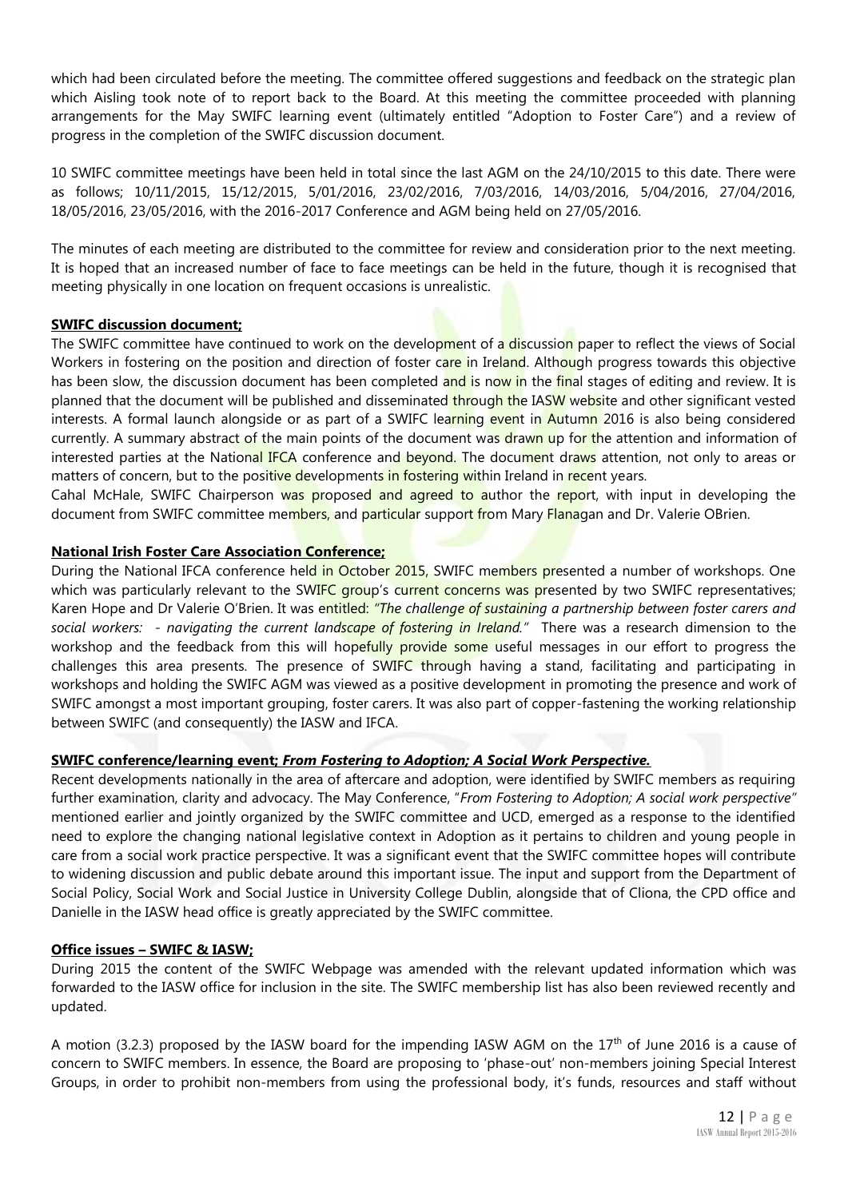which had been circulated before the meeting. The committee offered suggestions and feedback on the strategic plan which Aisling took note of to report back to the Board. At this meeting the committee proceeded with planning arrangements for the May SWIFC learning event (ultimately entitled "Adoption to Foster Care") and a review of progress in the completion of the SWIFC discussion document.

10 SWIFC committee meetings have been held in total since the last AGM on the 24/10/2015 to this date. There were as follows; 10/11/2015, 15/12/2015, 5/01/2016, 23/02/2016, 7/03/2016, 14/03/2016, 5/04/2016, 27/04/2016, 18/05/2016, 23/05/2016, with the 2016-2017 Conference and AGM being held on 27/05/2016.

The minutes of each meeting are distributed to the committee for review and consideration prior to the next meeting. It is hoped that an increased number of face to face meetings can be held in the future, though it is recognised that meeting physically in one location on frequent occasions is unrealistic.

# **SWIFC discussion document;**

The SWIFC committee have continued to work on the development of a discussion paper to reflect the views of Social Workers in fostering on the position and direction of foster care in Ireland. Although progress towards this objective has been slow, the discussion document has been completed and is now in the final stages of editing and review. It is planned that the document will be published and disseminated through the IASW website and other significant vested interests. A formal launch alongside or as part of a SWIFC learning event in Autumn 2016 is also being considered currently. A summary abstract of the main points of the document was drawn up for the attention and information of interested parties at the National IFCA conference and beyond. The document draws attention, not only to areas or matters of concern, but to the positive developments in fostering within Ireland in recent years.

Cahal McHale, SWIFC Chairperson was proposed and agreed to author the report, with input in developing the document from SWIFC committee members, and particular support from Mary Flanagan and Dr. Valerie OBrien.

# **National Irish Foster Care Association Conference;**

During the National IFCA conference held in October 2015, SWIFC members presented a number of workshops. One which was particularly relevant to the SWIFC group's current concerns was presented by two SWIFC representatives; Karen Hope and Dr Valerie O'Brien. It was entitled: *"The challenge of sustaining a partnership between foster carers and social workers: - navigating the current landscape of fostering in Ireland."* There was a research dimension to the workshop and the feedback from this will hopefully provide some useful messages in our effort to progress the challenges this area presents. The presence of SWIFC through having a stand, facilitating and participating in workshops and holding the SWIFC AGM was viewed as a positive development in promoting the presence and work of SWIFC amongst a most important grouping, foster carers. It was also part of copper-fastening the working relationship between SWIFC (and consequently) the IASW and IFCA.

# **SWIFC conference/learning event;** *From Fostering to Adoption; A Social Work Perspective.*

Recent developments nationally in the area of aftercare and adoption, were identified by SWIFC members as requiring further examination, clarity and advocacy. The May Conference, "*From Fostering to Adoption; A social work perspective"* mentioned earlier and jointly organized by the SWIFC committee and UCD, emerged as a response to the identified need to explore the changing national legislative context in Adoption as it pertains to children and young people in care from a social work practice perspective. It was a significant event that the SWIFC committee hopes will contribute to widening discussion and public debate around this important issue. The input and support from the Department of Social Policy, Social Work and Social Justice in University College Dublin, alongside that of Cliona, the CPD office and Danielle in the IASW head office is greatly appreciated by the SWIFC committee.

# **Office issues – SWIFC & IASW;**

During 2015 the content of the SWIFC Webpage was amended with the relevant updated information which was forwarded to the IASW office for inclusion in the site. The SWIFC membership list has also been reviewed recently and updated.

A motion (3.2.3) proposed by the IASW board for the impending IASW AGM on the  $17<sup>th</sup>$  of June 2016 is a cause of concern to SWIFC members. In essence, the Board are proposing to 'phase-out' non-members joining Special Interest Groups, in order to prohibit non-members from using the professional body, it's funds, resources and staff without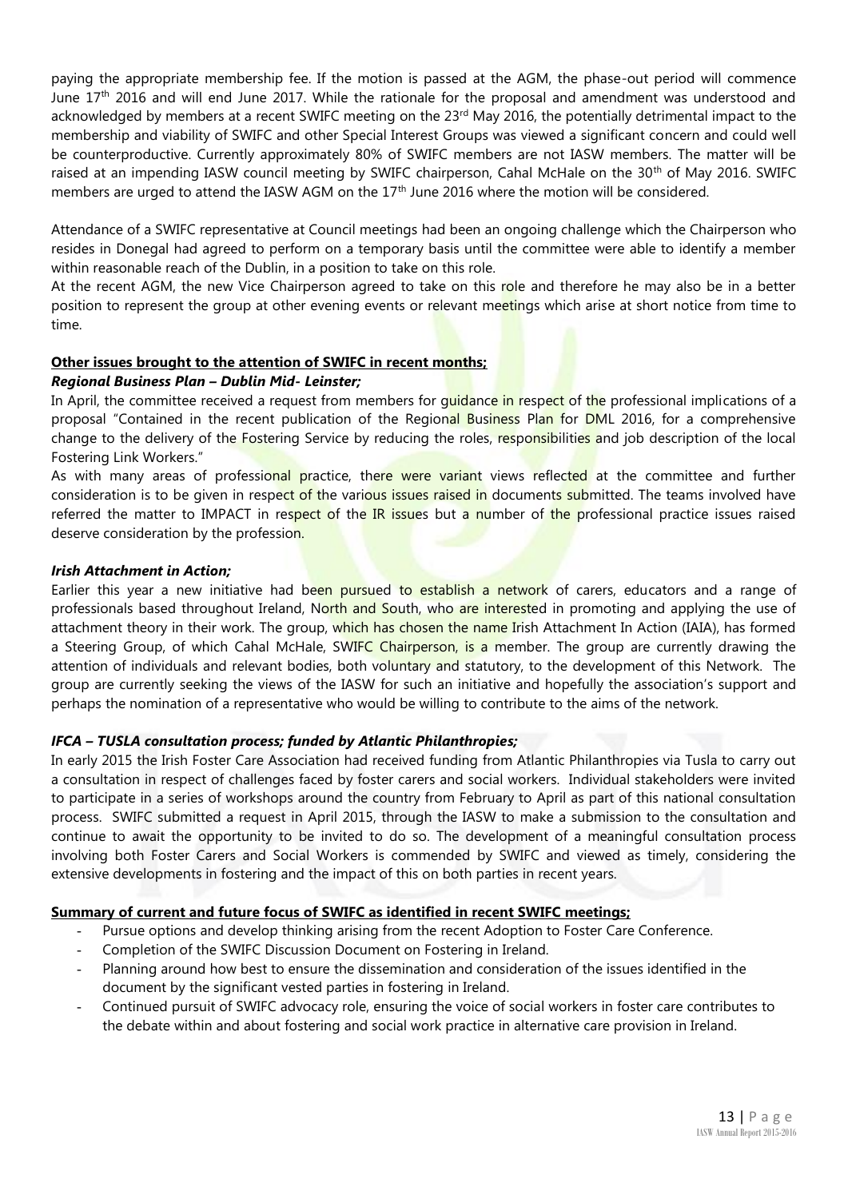paying the appropriate membership fee. If the motion is passed at the AGM, the phase-out period will commence June 17<sup>th</sup> 2016 and will end June 2017. While the rationale for the proposal and amendment was understood and acknowledged by members at a recent SWIFC meeting on the 23<sup>rd</sup> May 2016, the potentially detrimental impact to the membership and viability of SWIFC and other Special Interest Groups was viewed a significant concern and could well be counterproductive. Currently approximately 80% of SWIFC members are not IASW members. The matter will be raised at an impending IASW council meeting by SWIFC chairperson, Cahal McHale on the 30<sup>th</sup> of May 2016. SWIFC members are urged to attend the IASW AGM on the 17<sup>th</sup> June 2016 where the motion will be considered.

Attendance of a SWIFC representative at Council meetings had been an ongoing challenge which the Chairperson who resides in Donegal had agreed to perform on a temporary basis until the committee were able to identify a member within reasonable reach of the Dublin, in a position to take on this role.

At the recent AGM, the new Vice Chairperson agreed to take on this role and therefore he may also be in a better position to represent the group at other evening events or relevant meetings which arise at short notice from time to time.

# **Other issues brought to the attention of SWIFC in recent months;**

# *Regional Business Plan – Dublin Mid- Leinster;*

In April, the committee received a request from members for quidance in respect of the professional implications of a proposal "Contained in the recent publication of the Regional Business Plan for DML 2016, for a comprehensive change to the delivery of the Fostering Service by reducing the roles, responsibilities and job description of the local Fostering Link Workers."

As with many areas of professional practice, there were variant views reflected at the committee and further consideration is to be given in respect of the various issues raised in documents submitted. The teams involved have referred the matter to IMPACT in respect of the IR issues but a number of the professional practice issues raised deserve consideration by the profession.

# *Irish Attachment in Action;*

Earlier this year a new initiative had been pursued to establish a network of carers, educators and a range of professionals based throughout Ireland, North and South, who are interested in promoting and applying the use of attachment theory in their work. The group, which has chosen the name Irish Attachment In Action (IAIA), has formed a Steering Group, of which Cahal McHale, SWIFC Chairperson, is a member. The group are currently drawing the attention of individuals and relevant bodies, both voluntary and statutory, to the development of this Network. The group are currently seeking the views of the IASW for such an initiative and hopefully the association's support and perhaps the nomination of a representative who would be willing to contribute to the aims of the network.

# *IFCA – TUSLA consultation process; funded by Atlantic Philanthropies;*

In early 2015 the Irish Foster Care Association had received funding from Atlantic Philanthropies via Tusla to carry out a consultation in respect of challenges faced by foster carers and social workers. Individual stakeholders were invited to participate in a series of workshops around the country from February to April as part of this national consultation process. SWIFC submitted a request in April 2015, through the IASW to make a submission to the consultation and continue to await the opportunity to be invited to do so. The development of a meaningful consultation process involving both Foster Carers and Social Workers is commended by SWIFC and viewed as timely, considering the extensive developments in fostering and the impact of this on both parties in recent years.

# **Summary of current and future focus of SWIFC as identified in recent SWIFC meetings;**

- Pursue options and develop thinking arising from the recent Adoption to Foster Care Conference.
- Completion of the SWIFC Discussion Document on Fostering in Ireland.
- Planning around how best to ensure the dissemination and consideration of the issues identified in the document by the significant vested parties in fostering in Ireland.
- Continued pursuit of SWIFC advocacy role, ensuring the voice of social workers in foster care contributes to the debate within and about fostering and social work practice in alternative care provision in Ireland.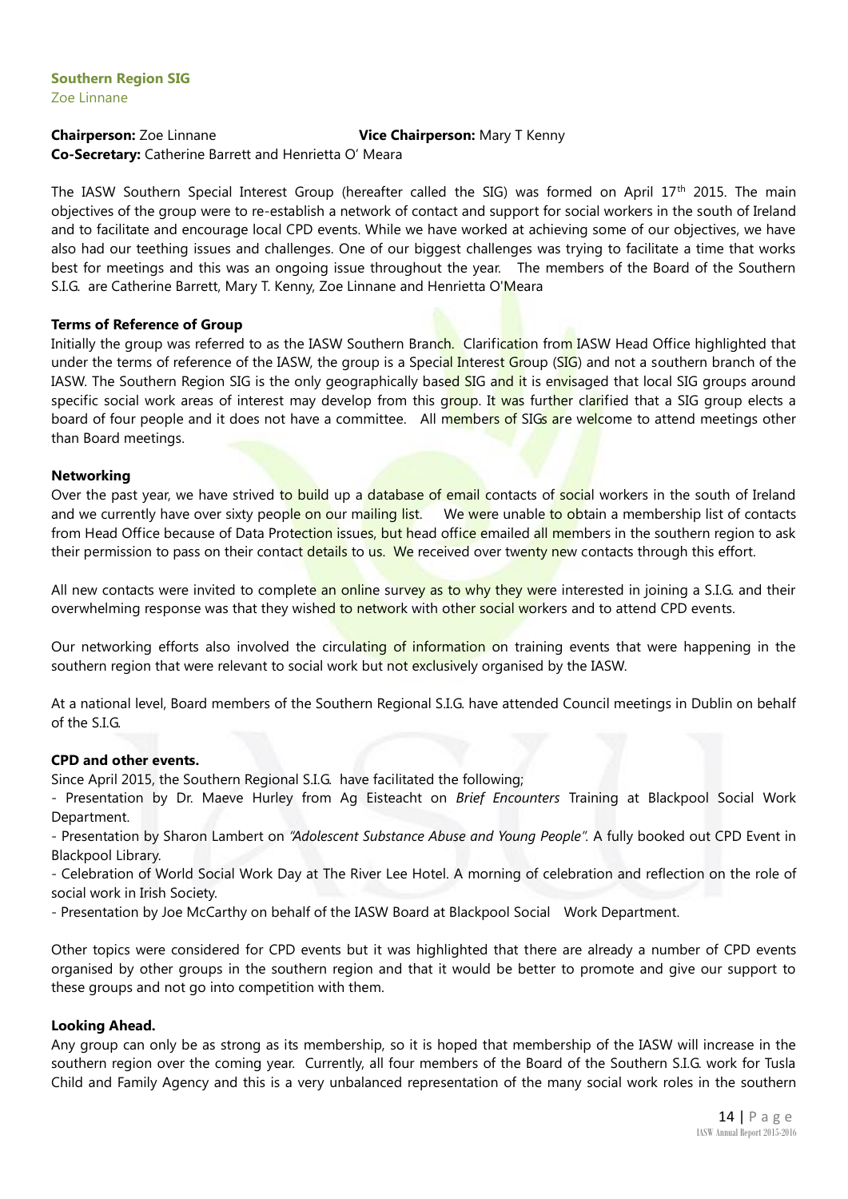# **Chairperson:** Zoe Linnane **Vice Chairperson:** Mary T Kenny **Co-Secretary:** Catherine Barrett and Henrietta O' Meara

The IASW Southern Special Interest Group (hereafter called the SIG) was formed on April 17<sup>th</sup> 2015. The main objectives of the group were to re-establish a network of contact and support for social workers in the south of Ireland and to facilitate and encourage local CPD events. While we have worked at achieving some of our objectives, we have also had our teething issues and challenges. One of our biggest challenges was trying to facilitate a time that works best for meetings and this was an ongoing issue throughout the year. The members of the Board of the Southern S.I.G. are Catherine Barrett, Mary T. Kenny, Zoe Linnane and Henrietta O'Meara

# **Terms of Reference of Group**

Initially the group was referred to as the IASW Southern Branch. Clarification from IASW Head Office highlighted that under the terms of reference of the IASW, the group is a Special Interest Group (SIG) and not a southern branch of the IASW. The Southern Region SIG is the only geographically based SIG and it is envisaged that local SIG groups around specific social work areas of interest may develop from this group. It was further clarified that a SIG group elects a board of four people and it does not have a committee. All members of SIGs are welcome to attend meetings other than Board meetings.

# **Networking**

Over the past year, we have strived to build up a database of email contacts of social workers in the south of Ireland and we currently have over sixty people on our mailing list. We were unable to obtain a membership list of contacts from Head Office because of Data Protection issues, but head office emailed all members in the southern region to ask their permission to pass on their contact details to us. We received over twenty new contacts through this effort.

All new contacts were invited to complete an online survey as to why they were interested in joining a S.I.G. and their overwhelming response was that they wished to network with other social workers and to attend CPD events.

Our networking efforts also involved the circulating of information on training events that were happening in the southern region that were relevant to social work but not exclusively organised by the IASW.

At a national level, Board members of the Southern Regional S.I.G. have attended Council meetings in Dublin on behalf of the S.I.G.

# **CPD and other events.**

Since April 2015, the Southern Regional S.I.G. have facilitated the following;

- Presentation by Dr. Maeve Hurley from Ag Eisteacht on *Brief Encounters* Training at Blackpool Social Work Department.

- Presentation by Sharon Lambert on *"Adolescent Substance Abuse and Young People".* A fully booked out CPD Event in Blackpool Library.

- Celebration of World Social Work Day at The River Lee Hotel. A morning of celebration and reflection on the role of social work in Irish Society.

- Presentation by Joe McCarthy on behalf of the IASW Board at Blackpool Social Work Department.

Other topics were considered for CPD events but it was highlighted that there are already a number of CPD events organised by other groups in the southern region and that it would be better to promote and give our support to these groups and not go into competition with them.

# **Looking Ahead.**

Any group can only be as strong as its membership, so it is hoped that membership of the IASW will increase in the southern region over the coming year. Currently, all four members of the Board of the Southern S.I.G. work for Tusla Child and Family Agency and this is a very unbalanced representation of the many social work roles in the southern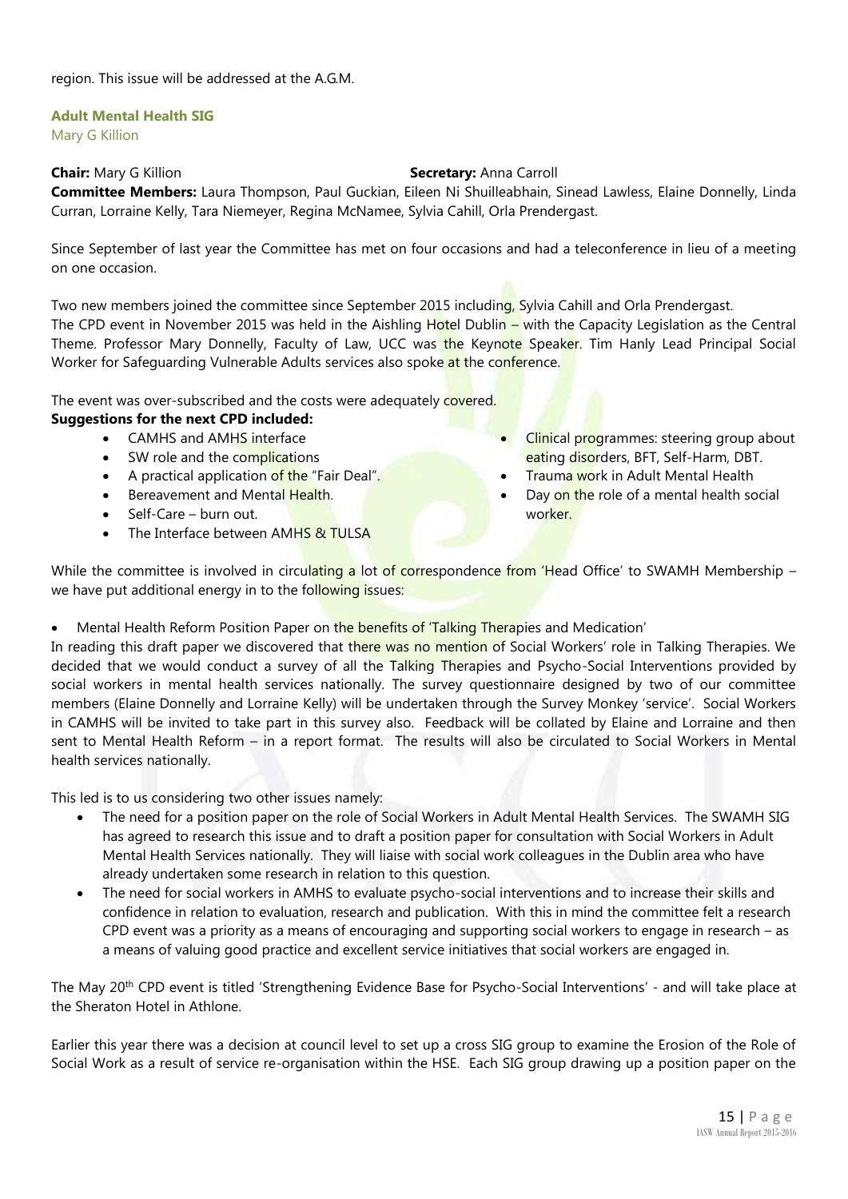# **Adult Mental Health SIG**

Mary G Killion

# **Chair:** Mary G Killion **Secretary:** Anna Carroll

**Committee Members:** Laura Thompson, Paul Guckian, Eileen Ni Shuilleabhain, Sinead Lawless, Elaine Donnelly, Linda Curran, Lorraine Kelly, Tara Niemeyer, Regina McNamee, Sylvia Cahill, Orla Prendergast.

Since September of last year the Committee has met on four occasions and had a teleconference in lieu of a meeting on one occasion.

Two new members joined the committee since September 2015 including, Sylvia Cahill and Orla Prendergast. The CPD event in November 2015 was held in the Aishling Hotel Dublin – with the Capacity Legislation as the Central Theme. Professor Mary Donnelly, Faculty of Law, UCC was the Keynote Speaker. Tim Hanly Lead Principal Social Worker for Safeguarding Vulnerable Adults services also spoke at the conference.

# The event was over-subscribed and the costs were adequately covered.

# **Suggestions for the next CPD included:**

- CAMHS and AMHS interface
- SW role and the complications
- A practical application of the "Fair Deal".
- Bereavement and Mental Health.
- $\bullet$  Self-Care burn out.
- The Interface between AMHS & TULSA
- Clinical programmes: steering group about eating disorders, BFT, Self-Harm, DBT.
- Trauma work in Adult Mental Health
- Day on the role of a mental health social worker.

While the committee is involved in circulating a lot of correspondence from 'Head Office' to SWAMH Membership – we have put additional energy in to the following issues:

Mental Health Reform Position Paper on the benefits of 'Talking Therapies and Medication'

In reading this draft paper we discovered that there was no mention of Social Workers' role in Talking Therapies. We decided that we would conduct a survey of all the Talking Therapies and Psycho-Social Interventions provided by social workers in mental health services nationally. The survey questionnaire designed by two of our committee members (Elaine Donnelly and Lorraine Kelly) will be undertaken through the Survey Monkey 'service'. Social Workers in CAMHS will be invited to take part in this survey also. Feedback will be collated by Elaine and Lorraine and then sent to Mental Health Reform – in a report format. The results will also be circulated to Social Workers in Mental health services nationally.

This led is to us considering two other issues namely:

- The need for a position paper on the role of Social Workers in Adult Mental Health Services. The SWAMH SIG has agreed to research this issue and to draft a position paper for consultation with Social Workers in Adult Mental Health Services nationally. They will liaise with social work colleagues in the Dublin area who have already undertaken some research in relation to this question.
- The need for social workers in AMHS to evaluate psycho-social interventions and to increase their skills and confidence in relation to evaluation, research and publication. With this in mind the committee felt a research CPD event was a priority as a means of encouraging and supporting social workers to engage in research – as a means of valuing good practice and excellent service initiatives that social workers are engaged in.

The May 20<sup>th</sup> CPD event is titled 'Strengthening Evidence Base for Psycho-Social Interventions' - and will take place at the Sheraton Hotel in Athlone.

Earlier this year there was a decision at council level to set up a cross SIG group to examine the Erosion of the Role of Social Work as a result of service re-organisation within the HSE. Each SIG group drawing up a position paper on the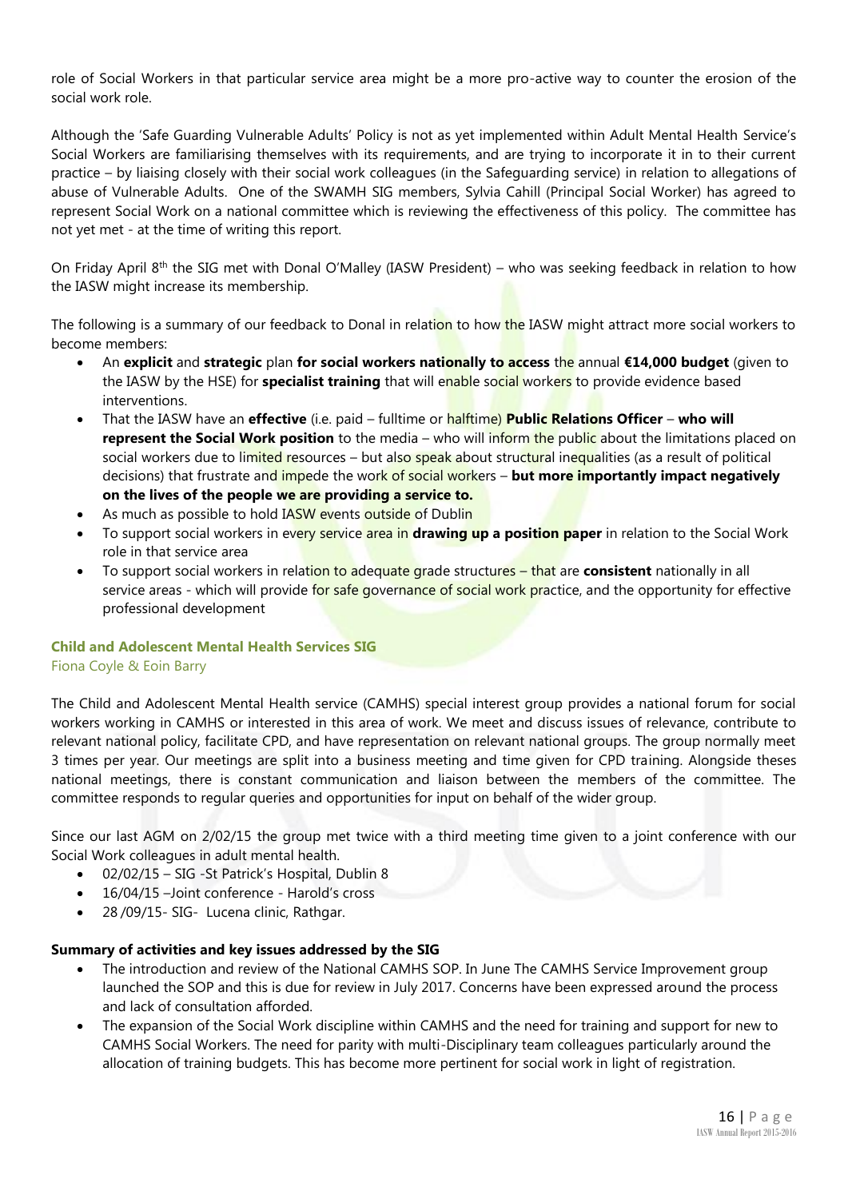role of Social Workers in that particular service area might be a more pro-active way to counter the erosion of the social work role.

Although the 'Safe Guarding Vulnerable Adults' Policy is not as yet implemented within Adult Mental Health Service's Social Workers are familiarising themselves with its requirements, and are trying to incorporate it in to their current practice – by liaising closely with their social work colleagues (in the Safeguarding service) in relation to allegations of abuse of Vulnerable Adults. One of the SWAMH SIG members, Sylvia Cahill (Principal Social Worker) has agreed to represent Social Work on a national committee which is reviewing the effectiveness of this policy. The committee has not yet met - at the time of writing this report.

On Friday April 8th the SIG met with Donal O'Malley (IASW President) – who was seeking feedback in relation to how the IASW might increase its membership.

The following is a summary of our feedback to Donal in relation to how the IASW might attract more social workers to become members:

- An **explicit** and **strategic** plan **for social workers nationally to access** the annual **€14,000 budget** (given to the IASW by the HSE) for **specialist training** that will enable social workers to provide evidence based interventions.
- That the IASW have an **effective** (i.e. paid fulltime or halftime) **Public Relations Officer who will represent the Social Work position** to the media – who will inform the public about the limitations placed on social workers due to limited resources – but also speak about structural inequalities (as a result of political decisions) that frustrate and impede the work of social workers – **but more importantly impact negatively on the lives of the people we are providing a service to.**
- As much as possible to hold IASW events outside of Dublin
- To support social workers in every service area in **drawing up a position paper** in relation to the Social Work role in that service area
- To support social workers in relation to adequate grade structures that are **consistent** nationally in all service areas - which will provide for safe governance of social work practice, and the opportunity for effective professional development

# **Child and Adolescent Mental Health Services SIG**

# Fiona Coyle & Eoin Barry

The Child and Adolescent Mental Health service (CAMHS) special interest group provides a national forum for social workers working in CAMHS or interested in this area of work. We meet and discuss issues of relevance, contribute to relevant national policy, facilitate CPD, and have representation on relevant national groups. The group normally meet 3 times per year. Our meetings are split into a business meeting and time given for CPD training. Alongside theses national meetings, there is constant communication and liaison between the members of the committee. The committee responds to regular queries and opportunities for input on behalf of the wider group.

Since our last AGM on 2/02/15 the group met twice with a third meeting time given to a joint conference with our Social Work colleagues in adult mental health.

- 02/02/15 SIG -St Patrick's Hospital, Dublin 8
- 16/04/15 –Joint conference Harold's cross
- 28 / 09/15 SIG Lucena clinic, Rathgar.

# **Summary of activities and key issues addressed by the SIG**

- The introduction and review of the National CAMHS SOP. In June The CAMHS Service Improvement group launched the SOP and this is due for review in July 2017. Concerns have been expressed around the process and lack of consultation afforded.
- The expansion of the Social Work discipline within CAMHS and the need for training and support for new to CAMHS Social Workers. The need for parity with multi-Disciplinary team colleagues particularly around the allocation of training budgets. This has become more pertinent for social work in light of registration.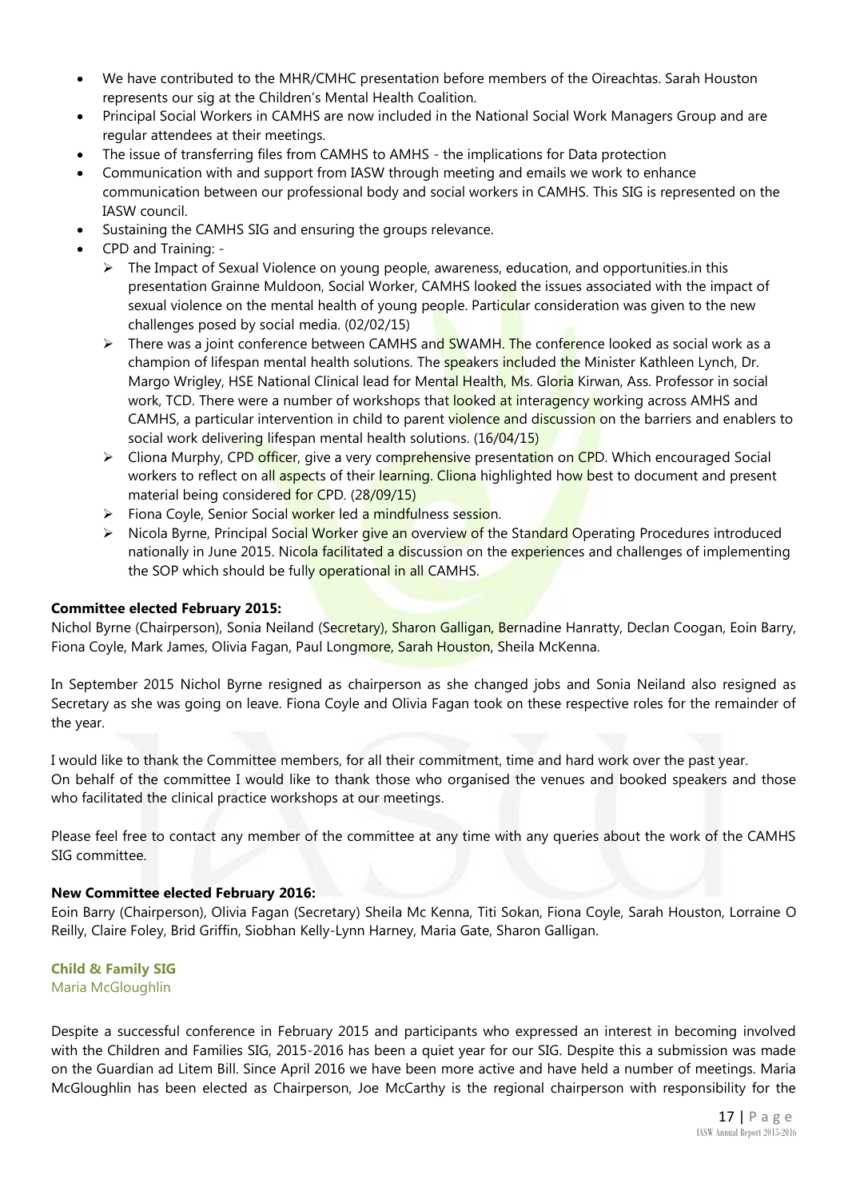- We have contributed to the MHR/CMHC presentation before members of the Oireachtas. Sarah Houston represents our sig at the Children's Mental Health Coalition.
- Principal Social Workers in CAMHS are now included in the National Social Work Managers Group and are regular attendees at their meetings.
- The issue of transferring files from CAMHS to AMHS the implications for Data protection
- Communication with and support from IASW through meeting and emails we work to enhance communication between our professional body and social workers in CAMHS. This SIG is represented on the IASW council.
- Sustaining the CAMHS SIG and ensuring the groups relevance.
- CPD and Training:
	- $\triangleright$  The Impact of Sexual Violence on young people, awareness, education, and opportunities. in this presentation Grainne Muldoon, Social Worker, CAMHS looked the issues associated with the impact of sexual violence on the mental health of young people. Particular consideration was given to the new challenges posed by social media. (02/02/15)
	- $\triangleright$  There was a joint conference between CAMHS and SWAMH. The conference looked as social work as a champion of lifespan mental health solutions. The speakers included the Minister Kathleen Lynch, Dr. Margo Wrigley, HSE National Clinical lead for Mental Health, Ms. Gloria Kirwan, Ass. Professor in social work, TCD. There were a number of workshops that looked at interagency working across AMHS and CAMHS, a particular intervention in child to parent violence and discussion on the barriers and enablers to social work delivering lifespan mental health solutions. (16/04/15)
	- $\triangleright$  Cliona Murphy, CPD officer, give a very comprehensive presentation on CPD. Which encouraged Social workers to reflect on all aspects of their learning. Cliona highlighted how best to document and present material being considered for CPD. (28/09/15)
	- Fiona Coyle, Senior Social worker led a mindfulness session.
	- ► Nicola Byrne, Principal Social Worker give an overview of the Standard Operating Procedures introduced nationally in June 2015. Nicola facilitated a discussion on the experiences and challenges of implementing the SOP which should be fully operational in all CAMHS.

# **Committee elected February 2015:**

Nichol Byrne (Chairperson), Sonia Neiland (Secretary), Sharon Galligan, Bernadine Hanratty, Declan Coogan, Eoin Barry, Fiona Coyle, Mark James, Olivia Fagan, Paul Longmore, Sarah Houston, Sheila McKenna.

In September 2015 Nichol Byrne resigned as chairperson as she changed jobs and Sonia Neiland also resigned as Secretary as she was going on leave. Fiona Coyle and Olivia Fagan took on these respective roles for the remainder of the year.

I would like to thank the Committee members, for all their commitment, time and hard work over the past year. On behalf of the committee I would like to thank those who organised the venues and booked speakers and those who facilitated the clinical practice workshops at our meetings.

Please feel free to contact any member of the committee at any time with any queries about the work of the CAMHS SIG committee.

## **New Committee elected February 2016:**

Eoin Barry (Chairperson), Olivia Fagan (Secretary) Sheila Mc Kenna, Titi Sokan, Fiona Coyle, Sarah Houston, Lorraine O Reilly, Claire Foley, Brid Griffin, Siobhan Kelly-Lynn Harney, Maria Gate, Sharon Galligan.

# **Child & Family SIG** Maria McGloughlin

Despite a successful conference in February 2015 and participants who expressed an interest in becoming involved with the Children and Families SIG, 2015-2016 has been a quiet year for our SIG. Despite this a submission was made on the Guardian ad Litem Bill. Since April 2016 we have been more active and have held a number of meetings. Maria McGloughlin has been elected as Chairperson, Joe McCarthy is the regional chairperson with responsibility for the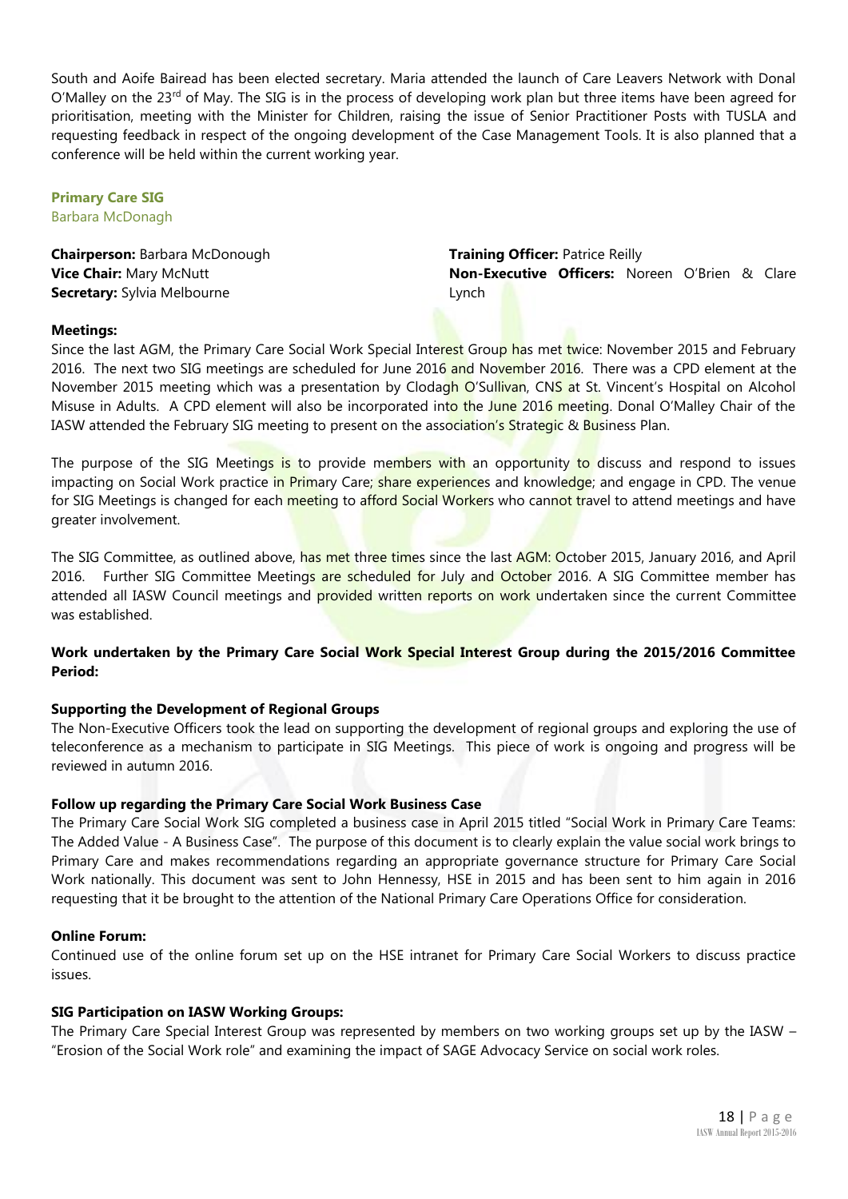South and Aoife Bairead has been elected secretary. Maria attended the launch of Care Leavers Network with Donal  $O'M$ alley on the 23<sup>rd</sup> of May. The SIG is in the process of developing work plan but three items have been agreed for prioritisation, meeting with the Minister for Children, raising the issue of Senior Practitioner Posts with TUSLA and requesting feedback in respect of the ongoing development of the Case Management Tools. It is also planned that a conference will be held within the current working year.

# **Primary Care SIG**

Barbara McDonagh

**Chairperson:** Barbara McDonough **Vice Chair:** Mary McNutt **Secretary:** Sylvia Melbourne

**Training Officer:** Patrice Reilly **Non-Executive Officers:** Noreen O'Brien & Clare Lynch

# **Meetings:**

Since the last AGM, the Primary Care Social Work Special Interest Group has met twice: November 2015 and February 2016. The next two SIG meetings are scheduled for June 2016 and November 2016. There was a CPD element at the November 2015 meeting which was a presentation by Clodagh O'Sullivan, CNS at St. Vincent's Hospital on Alcohol Misuse in Adults. A CPD element will also be incorporated into the June 2016 meeting. Donal O'Malley Chair of the IASW attended the February SIG meeting to present on the association's Strategic & Business Plan.

The purpose of the SIG Meetings is to provide members with an opportunity to discuss and respond to issues impacting on Social Work practice in Primary Care; share experiences and knowledge; and engage in CPD. The venue for SIG Meetings is changed for each meeting to afford Social Workers who cannot travel to attend meetings and have greater involvement.

The SIG Committee, as outlined above, has met three times since the last AGM: October 2015, January 2016, and April 2016. Further SIG Committee Meetings are scheduled for July and October 2016. A SIG Committee member has attended all IASW Council meetings and **provided** written reports on work undertaken since the current Committee was established.

# **Work undertaken by the Primary Care Social Work Special Interest Group during the 2015/2016 Committee Period:**

# **Supporting the Development of Regional Groups**

The Non-Executive Officers took the lead on supporting the development of regional groups and exploring the use of teleconference as a mechanism to participate in SIG Meetings. This piece of work is ongoing and progress will be reviewed in autumn 2016.

# **Follow up regarding the Primary Care Social Work Business Case**

The Primary Care Social Work SIG completed a business case in April 2015 titled "Social Work in Primary Care Teams: The Added Value - A Business Case". The purpose of this document is to clearly explain the value social work brings to Primary Care and makes recommendations regarding an appropriate governance structure for Primary Care Social Work nationally. This document was sent to John Hennessy, HSE in 2015 and has been sent to him again in 2016 requesting that it be brought to the attention of the National Primary Care Operations Office for consideration.

# **Online Forum:**

Continued use of the online forum set up on the HSE intranet for Primary Care Social Workers to discuss practice issues.

# **SIG Participation on IASW Working Groups:**

The Primary Care Special Interest Group was represented by members on two working groups set up by the IASW – "Erosion of the Social Work role" and examining the impact of SAGE Advocacy Service on social work roles.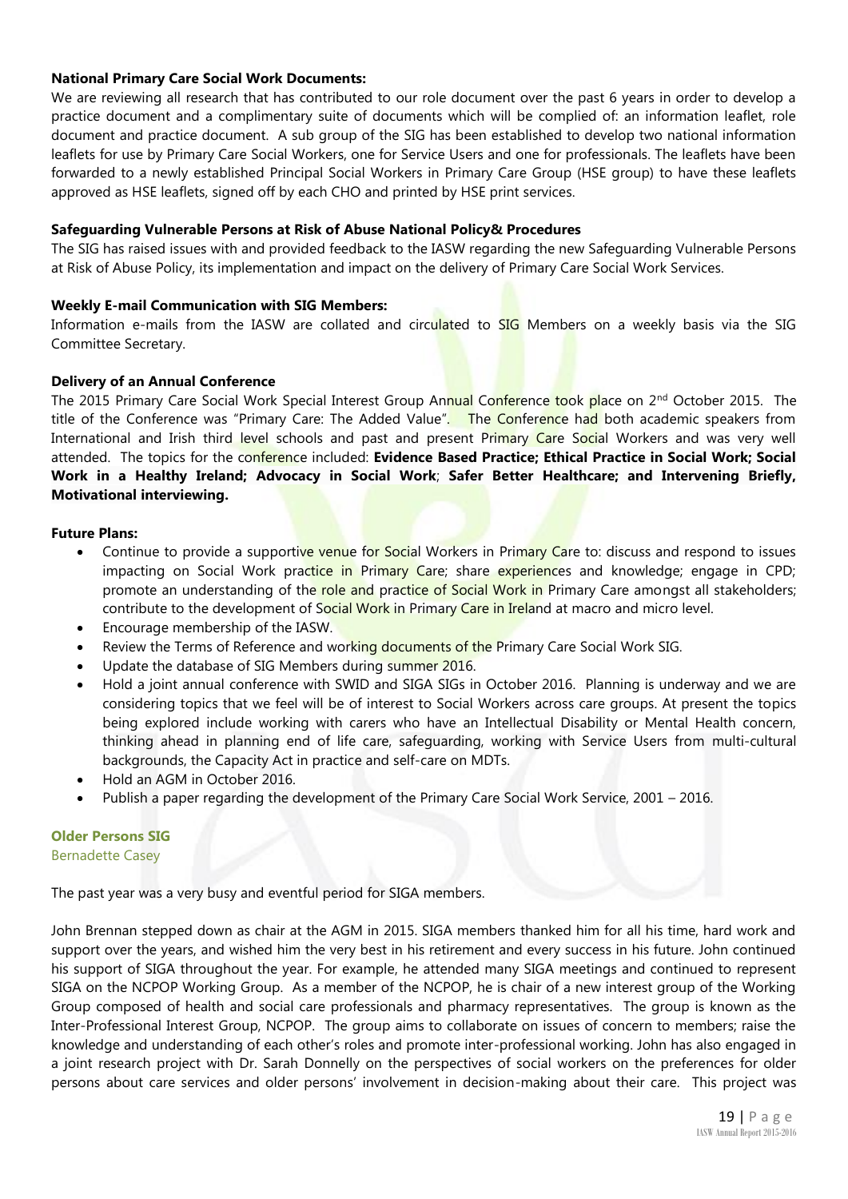# **National Primary Care Social Work Documents:**

We are reviewing all research that has contributed to our role document over the past 6 years in order to develop a practice document and a complimentary suite of documents which will be complied of: an information leaflet, role document and practice document. A sub group of the SIG has been established to develop two national information leaflets for use by Primary Care Social Workers, one for Service Users and one for professionals. The leaflets have been forwarded to a newly established Principal Social Workers in Primary Care Group (HSE group) to have these leaflets approved as HSE leaflets, signed off by each CHO and printed by HSE print services.

# **Safeguarding Vulnerable Persons at Risk of Abuse National Policy& Procedures**

The SIG has raised issues with and provided feedback to the IASW regarding the new Safeguarding Vulnerable Persons at Risk of Abuse Policy, its implementation and impact on the delivery of Primary Care Social Work Services.

# **Weekly E-mail Communication with SIG Members:**

Information e-mails from the IASW are collated and circulated to SIG Members on a weekly basis via the SIG Committee Secretary.

# **Delivery of an Annual Conference**

The 2015 Primary Care Social Work Special Interest Group Annual Conference took place on 2<sup>nd</sup> October 2015. The title of the Conference was "Primary Care: The Added Value". The Conference had both academic speakers from International and Irish third level schools and past and present Primary Care Social Workers and was very well attended. The topics for the conference included: **Evidence Based Practice; Ethical Practice in Social Work; Social Work in a Healthy Ireland; Advocacy in Social Work**; **Safer Better Healthcare; and Intervening Briefly, Motivational interviewing.**

# **Future Plans:**

- Continue to provide a supportive venue for Social Workers in Primary Care to: discuss and respond to issues impacting on Social Work practice in Primary Care; share experiences and knowledge; engage in CPD; promote an understanding of the role and practice of Social Work in Primary Care amongst all stakeholders; contribute to the development of Social Work in Primary Care in Ireland at macro and micro level.
- Encourage membership of the IASW.
- Review the Terms of Reference and working documents of the Primary Care Social Work SIG.
- Update the database of SIG Members during summer 2016.
- Hold a joint annual conference with SWID and SIGA SIGs in October 2016. Planning is underway and we are considering topics that we feel will be of interest to Social Workers across care groups. At present the topics being explored include working with carers who have an Intellectual Disability or Mental Health concern, thinking ahead in planning end of life care, safeguarding, working with Service Users from multi-cultural backgrounds, the Capacity Act in practice and self-care on MDTs.
- Hold an AGM in October 2016.
- Publish a paper regarding the development of the Primary Care Social Work Service, 2001 2016.

## **Older Persons SIG** Bernadette Casey

The past year was a very busy and eventful period for SIGA members.

John Brennan stepped down as chair at the AGM in 2015. SIGA members thanked him for all his time, hard work and support over the years, and wished him the very best in his retirement and every success in his future. John continued his support of SIGA throughout the year. For example, he attended many SIGA meetings and continued to represent SIGA on the NCPOP Working Group. As a member of the NCPOP, he is chair of a new interest group of the Working Group composed of health and social care professionals and pharmacy representatives. The group is known as the Inter-Professional Interest Group, NCPOP. The group aims to collaborate on issues of concern to members; raise the knowledge and understanding of each other's roles and promote inter-professional working. John has also engaged in a joint research project with Dr. Sarah Donnelly on the perspectives of social workers on the preferences for older persons about care services and older persons' involvement in decision-making about their care. This project was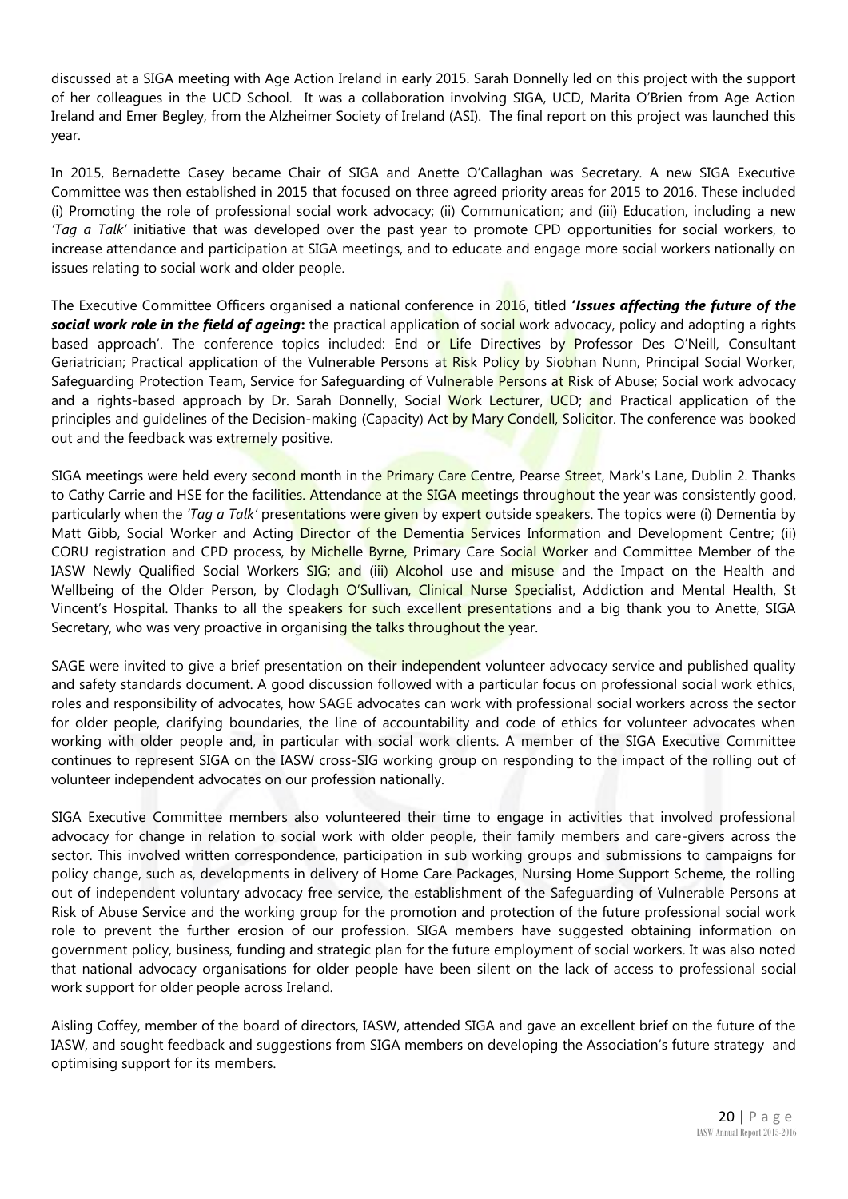discussed at a SIGA meeting with Age Action Ireland in early 2015. Sarah Donnelly led on this project with the support of her colleagues in the UCD School. It was a collaboration involving SIGA, UCD, Marita O'Brien from Age Action Ireland and Emer Begley, from the Alzheimer Society of Ireland (ASI). The final report on this project was launched this year.

In 2015, Bernadette Casey became Chair of SIGA and Anette O'Callaghan was Secretary. A new SIGA Executive Committee was then established in 2015 that focused on three agreed priority areas for 2015 to 2016. These included (i) Promoting the role of professional social work advocacy; (ii) Communication; and (iii) Education, including a new *'Tag a Talk'* initiative that was developed over the past year to promote CPD opportunities for social workers, to increase attendance and participation at SIGA meetings, and to educate and engage more social workers nationally on issues relating to social work and older people.

The Executive Committee Officers organised a national conference in 2016, titled **'***Issues affecting the future of the social work role in the field of ageing***:** the practical application of social work advocacy, policy and adopting a rights based approach'. The conference topics included: End or Life Directives by Professor Des O'Neill, Consultant Geriatrician; Practical application of the Vulnerable Persons at Risk Policy by Siobhan Nunn, Principal Social Worker, Safeguarding Protection Team, Service for Safeguarding of Vulnerable Persons at Risk of Abuse; Social work advocacy and a rights-based approach by Dr. Sarah Donnelly, Social Work Lecturer, UCD; and Practical application of the principles and quidelines of the Decision-making (Capacity) Act by Mary Condell, Solicitor. The conference was booked out and the feedback was extremely positive.

SIGA meetings were held every second month in the Primary Care Centre, Pearse Street, Mark's Lane, Dublin 2. Thanks to Cathy Carrie and HSE for the facilities. Attendance at the SIGA meetings throughout the year was consistently good, particularly when the *'Tag a Talk'* presentations were given by expert outside speakers. The topics were (i) Dementia by Matt Gibb, Social Worker and Acting Director of the Dementia Services Information and Development Centre; (ii) CORU registration and CPD process, by Michelle Byrne, Primary Care Social Worker and Committee Member of the IASW Newly Oualified Social Workers SIG; and (iii) Alcohol use and misuse and the Impact on the Health and Wellbeing of the Older Person, by Clodagh O'Sullivan, Clinical Nurse Specialist, Addiction and Mental Health, St Vincent's Hospital. Thanks to all the speakers for such excellent presentations and a big thank you to Anette, SIGA Secretary, who was very proactive in organising the talks throughout the year.

SAGE were invited to give a brief presentation on their independent volunteer advocacy service and published quality and safety standards document. A good discussion followed with a particular focus on professional social work ethics, roles and responsibility of advocates, how SAGE advocates can work with professional social workers across the sector for older people, clarifying boundaries, the line of accountability and code of ethics for volunteer advocates when working with older people and, in particular with social work clients. A member of the SIGA Executive Committee continues to represent SIGA on the IASW cross-SIG working group on responding to the impact of the rolling out of volunteer independent advocates on our profession nationally.

SIGA Executive Committee members also volunteered their time to engage in activities that involved professional advocacy for change in relation to social work with older people, their family members and care-givers across the sector. This involved written correspondence, participation in sub working groups and submissions to campaigns for policy change, such as, developments in delivery of Home Care Packages, Nursing Home Support Scheme, the rolling out of independent voluntary advocacy free service, the establishment of the Safeguarding of Vulnerable Persons at Risk of Abuse Service and the working group for the promotion and protection of the future professional social work role to prevent the further erosion of our profession. SIGA members have suggested obtaining information on government policy, business, funding and strategic plan for the future employment of social workers. It was also noted that national advocacy organisations for older people have been silent on the lack of access to professional social work support for older people across Ireland.

Aisling Coffey, member of the board of directors, IASW, attended SIGA and gave an excellent brief on the future of the IASW, and sought feedback and suggestions from SIGA members on developing the Association's future strategy and optimising support for its members.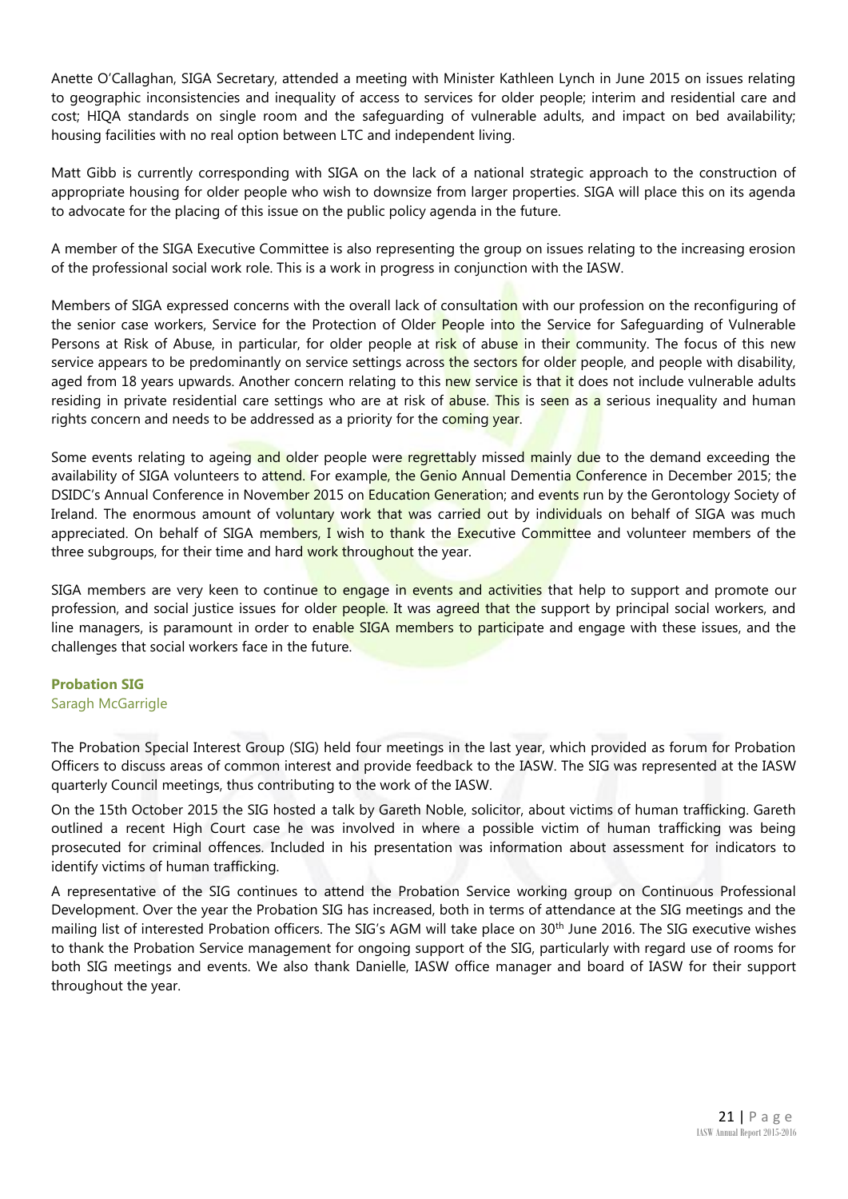Anette O'Callaghan, SIGA Secretary, attended a meeting with Minister Kathleen Lynch in June 2015 on issues relating to geographic inconsistencies and inequality of access to services for older people; interim and residential care and cost; HIQA standards on single room and the safeguarding of vulnerable adults, and impact on bed availability; housing facilities with no real option between LTC and independent living.

Matt Gibb is currently corresponding with SIGA on the lack of a national strategic approach to the construction of appropriate housing for older people who wish to downsize from larger properties. SIGA will place this on its agenda to advocate for the placing of this issue on the public policy agenda in the future.

A member of the SIGA Executive Committee is also representing the group on issues relating to the increasing erosion of the professional social work role. This is a work in progress in conjunction with the IASW.

Members of SIGA expressed concerns with the overall lack of consultation with our profession on the reconfiguring of the senior case workers, Service for the Protection of Older People into the Service for Safeguarding of Vulnerable Persons at Risk of Abuse, in particular, for older people at risk of abuse in their community. The focus of this new service appears to be predominantly on service settings across the sectors for older people, and people with disability, aged from 18 years upwards. Another concern relating to this new service is that it does not include vulnerable adults residing in private residential care settings who are at risk of abuse. This is seen as a serious inequality and human rights concern and needs to be addressed as a priority for the coming year.

Some events relating to ageing and older people were regrettably missed mainly due to the demand exceeding the availability of SIGA volunteers to attend. For example, the Genio Annual Dementia Conference in December 2015; the DSIDC's Annual Conference in November 2015 on Education Generation; and events run by the Gerontology Society of Ireland. The enormous amount of voluntary work that was carried out by individuals on behalf of SIGA was much appreciated. On behalf of SIGA members, I wish to thank the Executive Committee and volunteer members of the three subgroups, for their time and hard work throughout the year.

SIGA members are very keen to continue to engage in events and activities that help to support and promote our profession, and social justice issues for older people. It was agreed that the support by principal social workers, and line managers, is paramount in order to enable SIGA members to participate and engage with these issues, and the challenges that social workers face in the future.

# **Probation SIG** Saragh McGarrigle

The Probation Special Interest Group (SIG) held four meetings in the last year, which provided as forum for Probation Officers to discuss areas of common interest and provide feedback to the IASW. The SIG was represented at the IASW quarterly Council meetings, thus contributing to the work of the IASW.

On the 15th October 2015 the SIG hosted a talk by Gareth Noble, solicitor, about victims of human trafficking. Gareth outlined a recent High Court case he was involved in where a possible victim of human trafficking was being prosecuted for criminal offences. Included in his presentation was information about assessment for indicators to identify victims of human trafficking.

A representative of the SIG continues to attend the Probation Service working group on Continuous Professional Development. Over the year the Probation SIG has increased, both in terms of attendance at the SIG meetings and the mailing list of interested Probation officers. The SIG's AGM will take place on 30<sup>th</sup> June 2016. The SIG executive wishes to thank the Probation Service management for ongoing support of the SIG, particularly with regard use of rooms for both SIG meetings and events. We also thank Danielle, IASW office manager and board of IASW for their support throughout the year.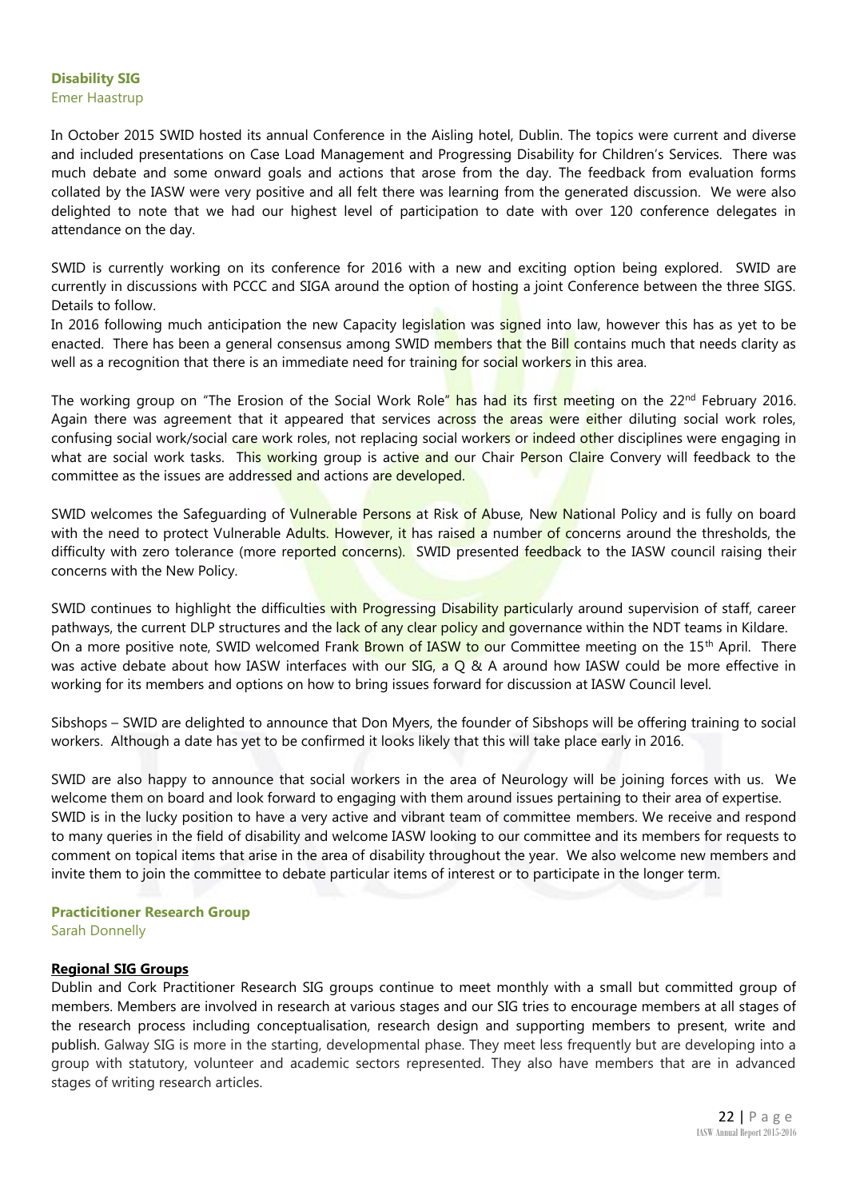# **Disability SIG**

Emer Haastrup

In October 2015 SWID hosted its annual Conference in the Aisling hotel, Dublin. The topics were current and diverse and included presentations on Case Load Management and Progressing Disability for Children's Services. There was much debate and some onward goals and actions that arose from the day. The feedback from evaluation forms collated by the IASW were very positive and all felt there was learning from the generated discussion. We were also delighted to note that we had our highest level of participation to date with over 120 conference delegates in attendance on the day.

SWID is currently working on its conference for 2016 with a new and exciting option being explored. SWID are currently in discussions with PCCC and SIGA around the option of hosting a joint Conference between the three SIGS. Details to follow.

In 2016 following much anticipation the new Capacity legislation was signed into law, however this has as yet to be enacted. There has been a general consensus among SWID members that the Bill contains much that needs clarity as well as a recognition that there is an immediate need for training for social workers in this area.

The working group on "The Erosion of the Social Work Role" has had its first meeting on the 22<sup>nd</sup> February 2016. Again there was agreement that it appeared that services across the areas were either diluting social work roles, confusing social work/social care work roles, not replacing social workers or indeed other disciplines were engaging in what are social work tasks. This working group is active and our Chair Person Claire Convery will feedback to the committee as the issues are addressed and actions are developed.

SWID welcomes the Safeguarding of Vulnerable Persons at Risk of Abuse, New National Policy and is fully on board with the need to protect Vulnerable Adults. However, it has raised a number of concerns around the thresholds, the difficulty with zero tolerance (more reported concerns). SWID presented feedback to the IASW council raising their concerns with the New Policy.

SWID continues to highlight the difficulties with Progressing Disability particularly around supervision of staff, career pathways, the current DLP structures and the lack of any clear policy and governance within the NDT teams in Kildare. On a more positive note, SWID welcomed Frank Brown of IASW to our Committee meeting on the 15<sup>th</sup> April. There was active debate about how IASW interfaces with our SIG, a  $\overline{O}$  & A around how IASW could be more effective in working for its members and options on how to bring issues forward for discussion at IASW Council level.

Sibshops – SWID are delighted to announce that Don Myers, the founder of Sibshops will be offering training to social workers. Although a date has yet to be confirmed it looks likely that this will take place early in 2016.

SWID are also happy to announce that social workers in the area of Neurology will be joining forces with us. We welcome them on board and look forward to engaging with them around issues pertaining to their area of expertise. SWID is in the lucky position to have a very active and vibrant team of committee members. We receive and respond to many queries in the field of disability and welcome IASW looking to our committee and its members for requests to comment on topical items that arise in the area of disability throughout the year. We also welcome new members and invite them to join the committee to debate particular items of interest or to participate in the longer term.

# **Practicitioner Research Group**

Sarah Donnelly

# **Regional SIG Groups**

Dublin and Cork Practitioner Research SIG groups continue to meet monthly with a small but committed group of members. Members are involved in research at various stages and our SIG tries to encourage members at all stages of the research process including conceptualisation, research design and supporting members to present, write and publish. Galway SIG is more in the starting, developmental phase. They meet less frequently but are developing into a group with statutory, volunteer and academic sectors represented. They also have members that are in advanced stages of writing research articles.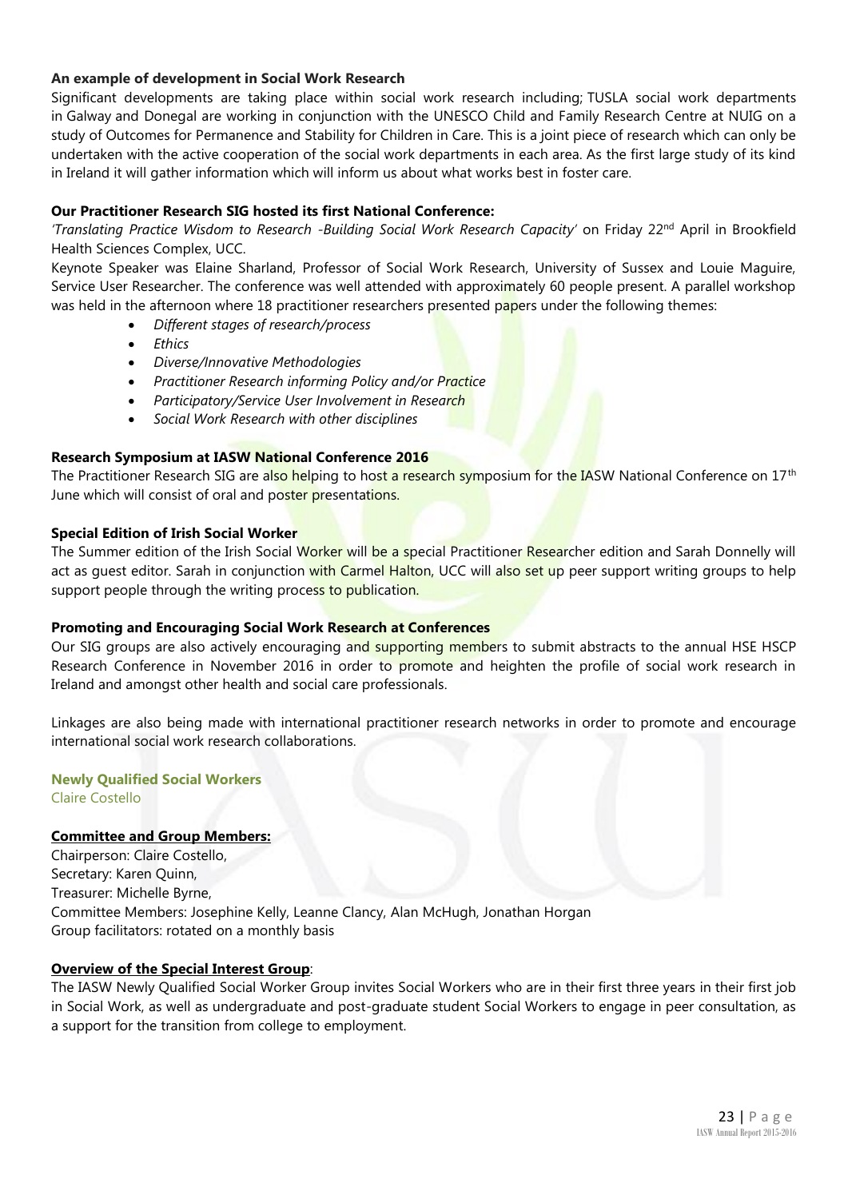# **An example of development in Social Work Research**

Significant developments are taking place within social work research including; TUSLA social work departments in Galway and Donegal are working in conjunction with the UNESCO Child and Family Research Centre at NUIG on a study of Outcomes for Permanence and Stability for Children in Care. This is a joint piece of research which can only be undertaken with the active cooperation of the social work departments in each area. As the first large study of its kind in Ireland it will gather information which will inform us about what works best in foster care.

# **Our Practitioner Research SIG hosted its first National Conference:**

*'Translating Practice Wisdom to Research -Building Social Work Research Capacity'* on Friday 22nd April in Brookfield Health Sciences Complex, UCC.

Keynote Speaker was Elaine Sharland, Professor of Social Work Research, University of Sussex and Louie Maguire, Service User Researcher. The conference was well attended with approximately 60 people present. A parallel workshop was held in the afternoon where 18 practitioner researchers presented papers under the following themes:

- *Different stages of research/process*
- *Ethics*
- *Diverse/Innovative Methodologies*
- *Practitioner Research informing Policy and/or Practice*
- *Participatory/Service User Involvement in Research*
- *Social Work Research with other disciplines*

# **Research Symposium at IASW National Conference 2016**

The Practitioner Research SIG are also helping to host a research symposium for the IASW National Conference on 17<sup>th</sup> June which will consist of oral and poster presentations.

# **Special Edition of Irish Social Worker**

The Summer edition of the Irish Social Worker will be a special Practitioner Researcher edition and Sarah Donnelly will act as quest editor. Sarah in conjunction with Carmel Halton, UCC will also set up peer support writing groups to help support people through the writing process to publication.

# **Promoting and Encouraging Social Work Research at Conferences**

Our SIG groups are also actively encouraging and supporting members to submit abstracts to the annual HSE HSCP Research Conference in November 2016 in order to promote and heighten the profile of social work research in Ireland and amongst other health and social care professionals.

Linkages are also being made with international practitioner research networks in order to promote and encourage international social work research collaborations.

## **Newly Qualified Social Workers** Claire Costello

# **Committee and Group Members:**

Chairperson: Claire Costello, Secretary: Karen Quinn, Treasurer: Michelle Byrne, Committee Members: Josephine Kelly, Leanne Clancy, Alan McHugh, Jonathan Horgan Group facilitators: rotated on a monthly basis

# **Overview of the Special Interest Group**:

The IASW Newly Qualified Social Worker Group invites Social Workers who are in their first three years in their first job in Social Work, as well as undergraduate and post-graduate student Social Workers to engage in peer consultation, as a support for the transition from college to employment.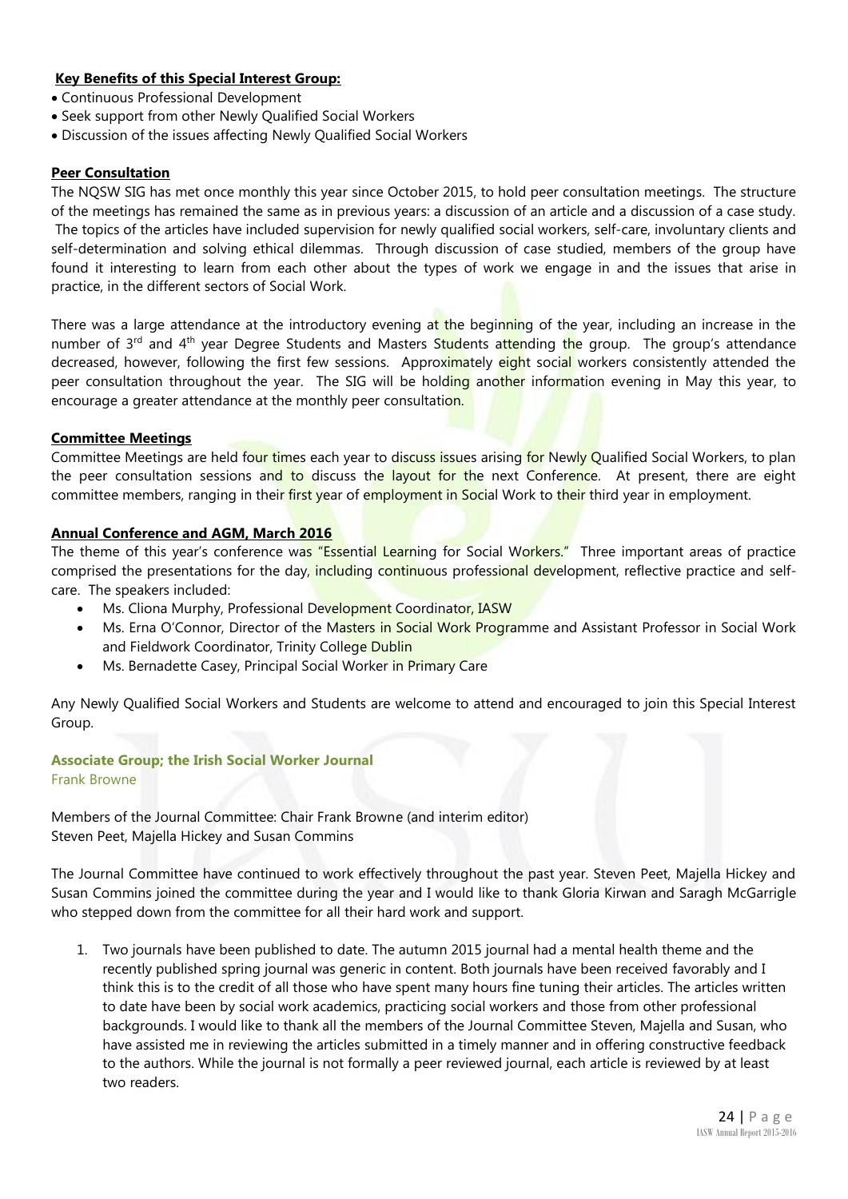# **Key Benefits of this Special Interest Group:**

- Continuous Professional Development
- Seek support from other Newly Qualified Social Workers
- Discussion of the issues affecting Newly Qualified Social Workers

# **Peer Consultation**

The NQSW SIG has met once monthly this year since October 2015, to hold peer consultation meetings. The structure of the meetings has remained the same as in previous years: a discussion of an article and a discussion of a case study. The topics of the articles have included supervision for newly qualified social workers, self-care, involuntary clients and self-determination and solving ethical dilemmas. Through discussion of case studied, members of the group have found it interesting to learn from each other about the types of work we engage in and the issues that arise in practice, in the different sectors of Social Work.

There was a large attendance at the introductory evening at the beginning of the year, including an increase in the number of 3<sup>rd</sup> and 4<sup>th</sup> year Degree Students and Masters Students attending the group. The group's attendance decreased, however, following the first few sessions. Approximately eight social workers consistently attended the peer consultation throughout the year. The SIG will be holding another information evening in May this year, to encourage a greater attendance at the monthly peer consultation.

# **Committee Meetings**

Committee Meetings are held four times each year to discuss issues arising for Newly Qualified Social Workers, to plan the peer consultation sessions and to discuss the layout for the next Conference. At present, there are eight committee members, ranging in their first year of employment in Social Work to their third year in employment.

# **Annual Conference and AGM, March 2016**

The theme of this year's conference was "Essential Learning for Social Workers." Three important areas of practice comprised the presentations for the day, including continuous professional development, reflective practice and selfcare. The speakers included:

- Ms. Cliona Murphy, Professional Development Coordinator, IASW
- Ms. Erna O'Connor, Director of the Masters in Social Work Programme and Assistant Professor in Social Work and Fieldwork Coordinator, Trinity College Dublin
- Ms. Bernadette Casey, Principal Social Worker in Primary Care

Any Newly Qualified Social Workers and Students are welcome to attend and encouraged to join this Special Interest Group.

## **Associate Group; the Irish Social Worker Journal** Frank Browne

Members of the Journal Committee: Chair Frank Browne (and interim editor) Steven Peet, Majella Hickey and Susan Commins

The Journal Committee have continued to work effectively throughout the past year. Steven Peet, Majella Hickey and Susan Commins joined the committee during the year and I would like to thank Gloria Kirwan and Saragh McGarrigle who stepped down from the committee for all their hard work and support.

1. Two journals have been published to date. The autumn 2015 journal had a mental health theme and the recently published spring journal was generic in content. Both journals have been received favorably and I think this is to the credit of all those who have spent many hours fine tuning their articles. The articles written to date have been by social work academics, practicing social workers and those from other professional backgrounds. I would like to thank all the members of the Journal Committee Steven, Majella and Susan, who have assisted me in reviewing the articles submitted in a timely manner and in offering constructive feedback to the authors. While the journal is not formally a peer reviewed journal, each article is reviewed by at least two readers.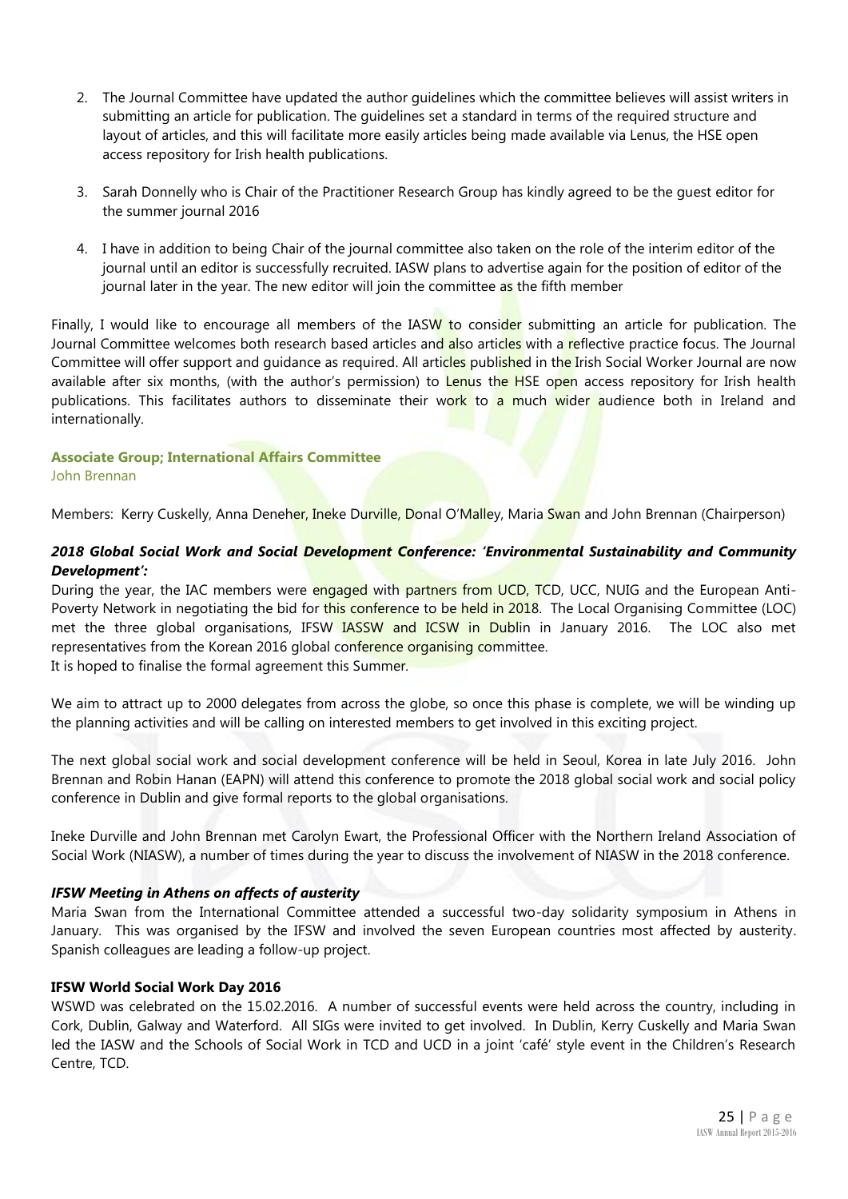- 2. The Journal Committee have updated the author guidelines which the committee believes will assist writers in submitting an article for publication. The guidelines set a standard in terms of the required structure and layout of articles, and this will facilitate more easily articles being made available via Lenus, the HSE open access repository for Irish health publications.
- 3. Sarah Donnelly who is Chair of the Practitioner Research Group has kindly agreed to be the guest editor for the summer journal 2016
- 4. I have in addition to being Chair of the journal committee also taken on the role of the interim editor of the journal until an editor is successfully recruited. IASW plans to advertise again for the position of editor of the journal later in the year. The new editor will join the committee as the fifth member

Finally, I would like to encourage all members of the IASW to consider submitting an article for publication. The Journal Committee welcomes both research based articles and also articles with a reflective practice focus. The Journal Committee will offer support and guidance as required. All articles published in the Irish Social Worker Journal are now available after six months, (with the author's permission) to Lenus the HSE open access repository for Irish health publications. This facilitates authors to disseminate their work to a much wider audience both in Ireland and internationally.

# **Associate Group; International Affairs Committee** John Brennan

Members: Kerry Cuskelly, Anna Deneher, Ineke Durville, Donal O'Malley, Maria Swan and John Brennan (Chairperson)

# *2018 Global Social Work and Social Development Conference: 'Environmental Sustainability and Community Development':*

During the year, the IAC members were engaged with partners from UCD, TCD, UCC, NUIG and the European Anti-Poverty Network in negotiating the bid for this conference to be held in 2018. The Local Organising Committee (LOC) met the three global organisations, IFSW IASSW and ICSW in Dublin in January 2016. The LOC also met representatives from the Korean 2016 global conference organising committee. It is hoped to finalise the formal agreement this Summer.

We aim to attract up to 2000 delegates from across the globe, so once this phase is complete, we will be winding up the planning activities and will be calling on interested members to get involved in this exciting project.

The next global social work and social development conference will be held in Seoul, Korea in late July 2016. John Brennan and Robin Hanan (EAPN) will attend this conference to promote the 2018 global social work and social policy conference in Dublin and give formal reports to the global organisations.

Ineke Durville and John Brennan met Carolyn Ewart, the Professional Officer with the Northern Ireland Association of Social Work (NIASW), a number of times during the year to discuss the involvement of NIASW in the 2018 conference.

# *IFSW Meeting in Athens on affects of austerity*

Maria Swan from the International Committee attended a successful two-day solidarity symposium in Athens in January. This was organised by the IFSW and involved the seven European countries most affected by austerity. Spanish colleagues are leading a follow-up project.

# **IFSW World Social Work Day 2016**

WSWD was celebrated on the 15.02.2016. A number of successful events were held across the country, including in Cork, Dublin, Galway and Waterford. All SIGs were invited to get involved. In Dublin, Kerry Cuskelly and Maria Swan led the IASW and the Schools of Social Work in TCD and UCD in a joint 'café' style event in the Children's Research Centre, TCD.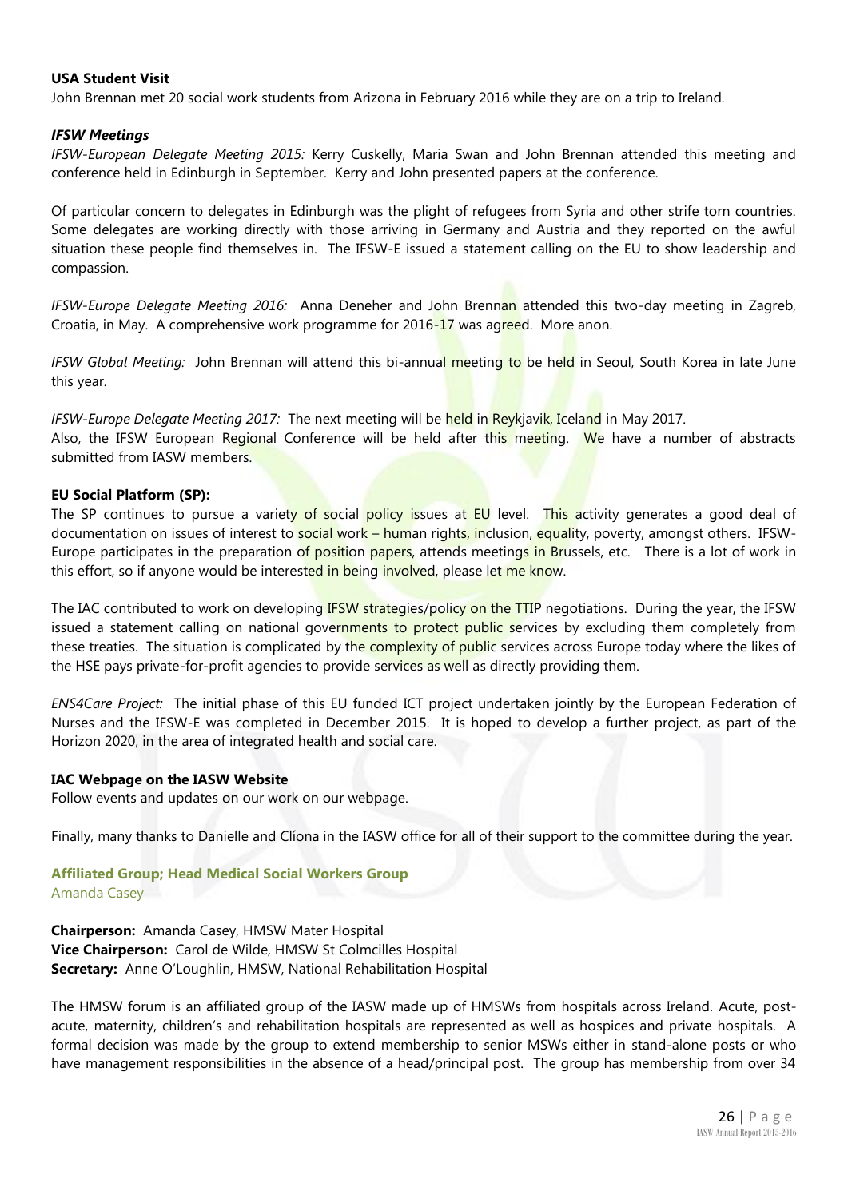# **USA Student Visit**

John Brennan met 20 social work students from Arizona in February 2016 while they are on a trip to Ireland.

# *IFSW Meetings*

*IFSW-European Delegate Meeting 2015:* Kerry Cuskelly, Maria Swan and John Brennan attended this meeting and conference held in Edinburgh in September. Kerry and John presented papers at the conference.

Of particular concern to delegates in Edinburgh was the plight of refugees from Syria and other strife torn countries. Some delegates are working directly with those arriving in Germany and Austria and they reported on the awful situation these people find themselves in. The IFSW-E issued a statement calling on the EU to show leadership and compassion.

*IFSW-Europe Delegate Meeting 2016:* Anna Deneher and John Brennan attended this two-day meeting in Zagreb, Croatia, in May. A comprehensive work programme for 2016-17 was agreed. More anon.

*IFSW Global Meeting:* John Brennan will attend this bi-annual meeting to be held in Seoul, South Korea in late June this year.

*IFSW-Europe Delegate Meeting 2017:* The next meeting will be held in Reykjavik, Iceland in May 2017. Also, the IFSW European Regional Conference will be held after this meeting. We have a number of abstracts submitted from IASW members.

# **EU Social Platform (SP):**

The SP continues to pursue a variety of social policy issues at EU level. This activity generates a good deal of documentation on issues of interest to social work – human rights, inclusion, equality, poverty, amongst others. IFSW-Europe participates in the preparation of position papers, attends meetings in Brussels, etc. There is a lot of work in this effort, so if anyone would be interested in being involved, please let me know.

The IAC contributed to work on developing IFSW strategies/policy on the TTIP negotiations. During the year, the IFSW issued a statement calling on national governments to protect public services by excluding them completely from these treaties. The situation is complicated by the complexity of public services across Europe today where the likes of the HSE pays private-for-profit agencies to provide services as well as directly providing them.

*ENS4Care Project:* The initial phase of this EU funded ICT project undertaken jointly by the European Federation of Nurses and the IFSW-E was completed in December 2015. It is hoped to develop a further project, as part of the Horizon 2020, in the area of integrated health and social care.

## **IAC Webpage on the IASW Website**

Follow events and updates on our work on our webpage.

Finally, many thanks to Danielle and Clíona in the IASW office for all of their support to the committee during the year.

# **Affiliated Group; Head Medical Social Workers Group** Amanda Casey

**Chairperson:** Amanda Casey, HMSW Mater Hospital **Vice Chairperson:** Carol de Wilde, HMSW St Colmcilles Hospital **Secretary:** Anne O'Loughlin, HMSW, National Rehabilitation Hospital

The HMSW forum is an affiliated group of the IASW made up of HMSWs from hospitals across Ireland. Acute, postacute, maternity, children's and rehabilitation hospitals are represented as well as hospices and private hospitals. A formal decision was made by the group to extend membership to senior MSWs either in stand-alone posts or who have management responsibilities in the absence of a head/principal post. The group has membership from over 34